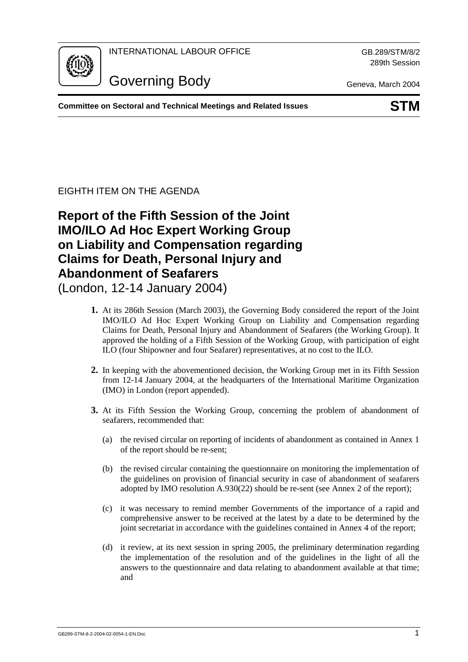

INTERNATIONAL LABOUR OFFICE GB.289/STM/8/2

289th Session

Governing Body Geneva, March 2004

**Committee on Sectoral and Technical Meetings and Related Issues STM**

## EIGHTH ITEM ON THE AGENDA

# **Report of the Fifth Session of the Joint IMO/ILO Ad Hoc Expert Working Group on Liability and Compensation regarding Claims for Death, Personal Injury and Abandonment of Seafarers**

(London, 12-14 January 2004)

- **1.** At its 286th Session (March 2003), the Governing Body considered the report of the Joint IMO/ILO Ad Hoc Expert Working Group on Liability and Compensation regarding Claims for Death, Personal Injury and Abandonment of Seafarers (the Working Group). It approved the holding of a Fifth Session of the Working Group, with participation of eight ILO (four Shipowner and four Seafarer) representatives, at no cost to the ILO.
- **2.** In keeping with the abovementioned decision, the Working Group met in its Fifth Session from 12-14 January 2004, at the headquarters of the International Maritime Organization (IMO) in London (report appended).
- **3.** At its Fifth Session the Working Group, concerning the problem of abandonment of seafarers, recommended that:
	- (a) the revised circular on reporting of incidents of abandonment as contained in Annex 1 of the report should be re-sent;
	- (b) the revised circular containing the questionnaire on monitoring the implementation of the guidelines on provision of financial security in case of abandonment of seafarers adopted by IMO resolution A.930(22) should be re-sent (see Annex 2 of the report);
	- (c) it was necessary to remind member Governments of the importance of a rapid and comprehensive answer to be received at the latest by a date to be determined by the joint secretariat in accordance with the guidelines contained in Annex 4 of the report;
	- (d) it review, at its next session in spring 2005, the preliminary determination regarding the implementation of the resolution and of the guidelines in the light of all the answers to the questionnaire and data relating to abandonment available at that time; and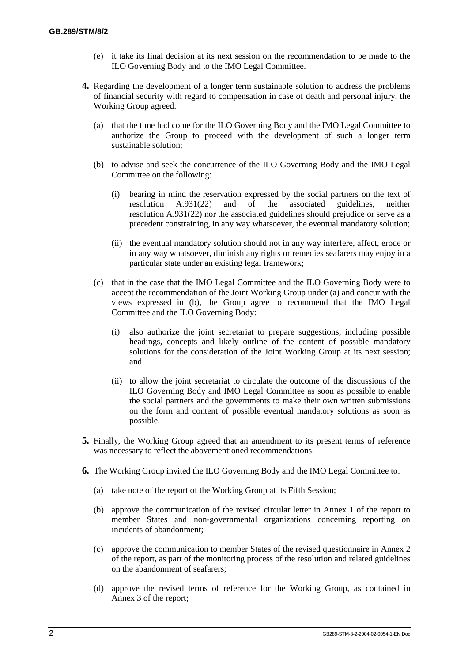- (e) it take its final decision at its next session on the recommendation to be made to the ILO Governing Body and to the IMO Legal Committee.
- **4.** Regarding the development of a longer term sustainable solution to address the problems of financial security with regard to compensation in case of death and personal injury, the Working Group agreed:
	- (a) that the time had come for the ILO Governing Body and the IMO Legal Committee to authorize the Group to proceed with the development of such a longer term sustainable solution;
	- (b) to advise and seek the concurrence of the ILO Governing Body and the IMO Legal Committee on the following:
		- (i) bearing in mind the reservation expressed by the social partners on the text of resolution A.931(22) and of the associated guidelines, neither resolution A.931(22) nor the associated guidelines should prejudice or serve as a precedent constraining, in any way whatsoever, the eventual mandatory solution;
		- (ii) the eventual mandatory solution should not in any way interfere, affect, erode or in any way whatsoever, diminish any rights or remedies seafarers may enjoy in a particular state under an existing legal framework;
	- (c) that in the case that the IMO Legal Committee and the ILO Governing Body were to accept the recommendation of the Joint Working Group under (a) and concur with the views expressed in (b), the Group agree to recommend that the IMO Legal Committee and the ILO Governing Body:
		- (i) also authorize the joint secretariat to prepare suggestions, including possible headings, concepts and likely outline of the content of possible mandatory solutions for the consideration of the Joint Working Group at its next session; and
		- (ii) to allow the joint secretariat to circulate the outcome of the discussions of the ILO Governing Body and IMO Legal Committee as soon as possible to enable the social partners and the governments to make their own written submissions on the form and content of possible eventual mandatory solutions as soon as possible.
- **5.** Finally, the Working Group agreed that an amendment to its present terms of reference was necessary to reflect the abovementioned recommendations.
- **6.** The Working Group invited the ILO Governing Body and the IMO Legal Committee to:
	- (a) take note of the report of the Working Group at its Fifth Session;
	- (b) approve the communication of the revised circular letter in Annex 1 of the report to member States and non-governmental organizations concerning reporting on incidents of abandonment;
	- (c) approve the communication to member States of the revised questionnaire in Annex 2 of the report, as part of the monitoring process of the resolution and related guidelines on the abandonment of seafarers;
	- (d) approve the revised terms of reference for the Working Group, as contained in Annex 3 of the report;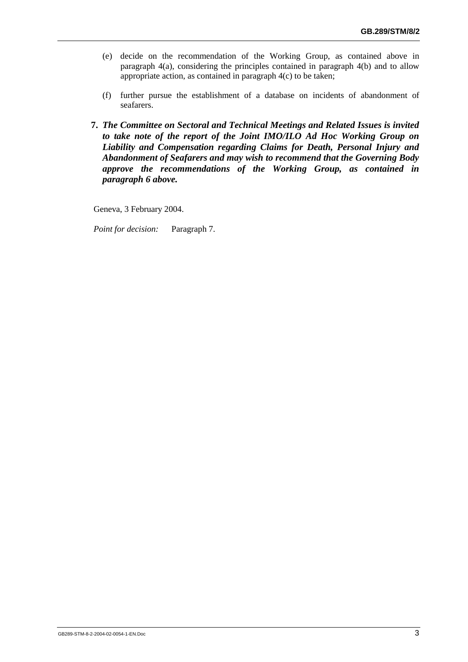- (e) decide on the recommendation of the Working Group, as contained above in paragraph 4(a), considering the principles contained in paragraph 4(b) and to allow appropriate action, as contained in paragraph 4(c) to be taken;
- (f) further pursue the establishment of a database on incidents of abandonment of seafarers.
- **7.** *The Committee on Sectoral and Technical Meetings and Related Issues is invited to take note of the report of the Joint IMO/ILO Ad Hoc Working Group on Liability and Compensation regarding Claims for Death, Personal Injury and Abandonment of Seafarers and may wish to recommend that the Governing Body approve the recommendations of the Working Group, as contained in paragraph 6 above.*

Geneva, 3 February 2004.

*Point for decision:* Paragraph 7.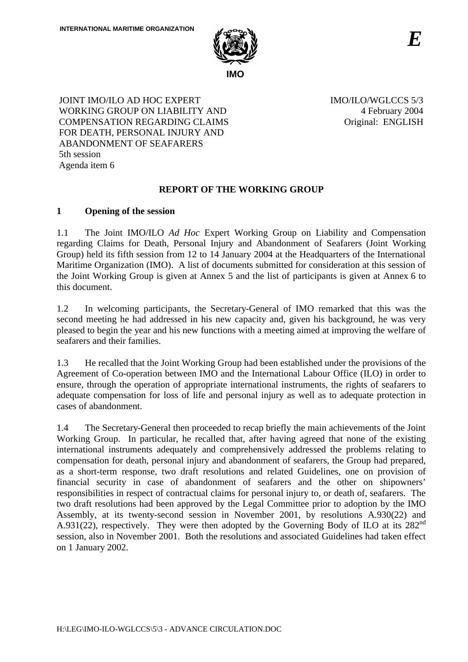

JOINT IMO/ILO AD HOC EXPERT WORKING GROUP ON LIABILITY AND COMPENSATION REGARDING CLAIMS FOR DEATH, PERSONAL INJURY AND ABANDONMENT OF SEAFARERS 5th session Agenda item 6

IMO/ILO/WGLCCS 5/3 4 February 2004 Original: ENGLISH

## **REPORT OF THE WORKING GROUP**

## **1 Opening of the session**

1.1 The Joint IMO/ILO *Ad Hoc* Expert Working Group on Liability and Compensation regarding Claims for Death, Personal Injury and Abandonment of Seafarers (Joint Working Group) held its fifth session from 12 to 14 January 2004 at the Headquarters of the International Maritime Organization (IMO). A list of documents submitted for consideration at this session of the Joint Working Group is given at Annex 5 and the list of participants is given at Annex 6 to this document.

1.2 In welcoming participants, the Secretary-General of IMO remarked that this was the second meeting he had addressed in his new capacity and, given his background, he was very pleased to begin the year and his new functions with a meeting aimed at improving the welfare of seafarers and their families.

1.3 He recalled that the Joint Working Group had been established under the provisions of the Agreement of Co-operation between IMO and the International Labour Office (ILO) in order to ensure, through the operation of appropriate international instruments, the rights of seafarers to adequate compensation for loss of life and personal injury as well as to adequate protection in cases of abandonment.

1.4 The Secretary-General then proceeded to recap briefly the main achievements of the Joint Working Group. In particular, he recalled that, after having agreed that none of the existing international instruments adequately and comprehensively addressed the problems relating to compensation for death, personal injury and abandonment of seafarers, the Group had prepared, as a short-term response, two draft resolutions and related Guidelines, one on provision of financial security in case of abandonment of seafarers and the other on shipowners' responsibilities in respect of contractual claims for personal injury to, or death of, seafarers. The two draft resolutions had been approved by the Legal Committee prior to adoption by the IMO Assembly, at its twenty-second session in November 2001, by resolutions A.930(22) and A.931(22), respectively. They were then adopted by the Governing Body of ILO at its  $282<sup>nd</sup>$ session, also in November 2001. Both the resolutions and associated Guidelines had taken effect on 1 January 2002.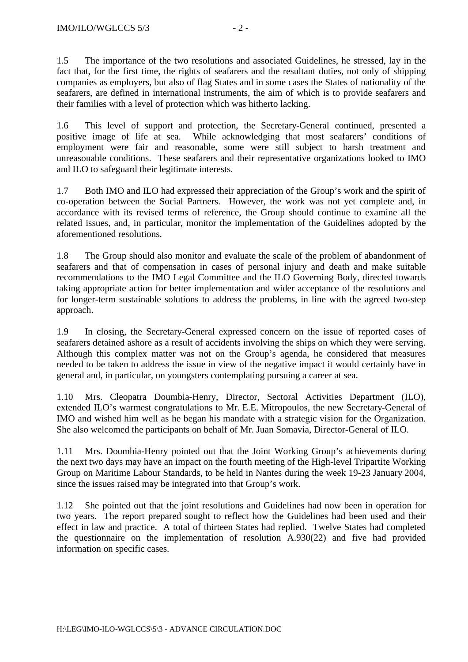1.5 The importance of the two resolutions and associated Guidelines, he stressed, lay in the fact that, for the first time, the rights of seafarers and the resultant duties, not only of shipping companies as employers, but also of flag States and in some cases the States of nationality of the seafarers, are defined in international instruments, the aim of which is to provide seafarers and their families with a level of protection which was hitherto lacking.

1.6 This level of support and protection, the Secretary-General continued, presented a positive image of life at sea. While acknowledging that most seafarers' conditions of employment were fair and reasonable, some were still subject to harsh treatment and unreasonable conditions. These seafarers and their representative organizations looked to IMO and ILO to safeguard their legitimate interests.

1.7 Both IMO and ILO had expressed their appreciation of the Group's work and the spirit of co-operation between the Social Partners. However, the work was not yet complete and, in accordance with its revised terms of reference, the Group should continue to examine all the related issues, and, in particular, monitor the implementation of the Guidelines adopted by the aforementioned resolutions.

1.8 The Group should also monitor and evaluate the scale of the problem of abandonment of seafarers and that of compensation in cases of personal injury and death and make suitable recommendations to the IMO Legal Committee and the ILO Governing Body, directed towards taking appropriate action for better implementation and wider acceptance of the resolutions and for longer-term sustainable solutions to address the problems, in line with the agreed two-step approach.

1.9 In closing, the Secretary-General expressed concern on the issue of reported cases of seafarers detained ashore as a result of accidents involving the ships on which they were serving. Although this complex matter was not on the Group's agenda, he considered that measures needed to be taken to address the issue in view of the negative impact it would certainly have in general and, in particular, on youngsters contemplating pursuing a career at sea.

1.10 Mrs. Cleopatra Doumbia-Henry, Director, Sectoral Activities Department (ILO), extended ILO's warmest congratulations to Mr. E.E. Mitropoulos, the new Secretary-General of IMO and wished him well as he began his mandate with a strategic vision for the Organization. She also welcomed the participants on behalf of Mr. Juan Somavia, Director-General of ILO.

1.11 Mrs. Doumbia-Henry pointed out that the Joint Working Group's achievements during the next two days may have an impact on the fourth meeting of the High-level Tripartite Working Group on Maritime Labour Standards, to be held in Nantes during the week 19-23 January 2004, since the issues raised may be integrated into that Group's work.

1.12 She pointed out that the joint resolutions and Guidelines had now been in operation for two years. The report prepared sought to reflect how the Guidelines had been used and their effect in law and practice. A total of thirteen States had replied. Twelve States had completed the questionnaire on the implementation of resolution A.930(22) and five had provided information on specific cases.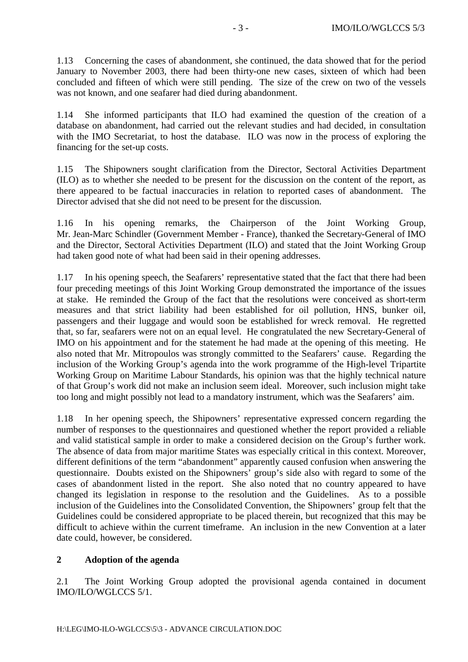1.13 Concerning the cases of abandonment, she continued, the data showed that for the period January to November 2003, there had been thirty-one new cases, sixteen of which had been concluded and fifteen of which were still pending. The size of the crew on two of the vessels was not known, and one seafarer had died during abandonment.

1.14 She informed participants that ILO had examined the question of the creation of a database on abandonment, had carried out the relevant studies and had decided, in consultation with the IMO Secretariat, to host the database. ILO was now in the process of exploring the financing for the set-up costs.

1.15 The Shipowners sought clarification from the Director, Sectoral Activities Department (ILO) as to whether she needed to be present for the discussion on the content of the report, as there appeared to be factual inaccuracies in relation to reported cases of abandonment. The Director advised that she did not need to be present for the discussion.

1.16 In his opening remarks, the Chairperson of the Joint Working Group, Mr. Jean-Marc Schindler (Government Member - France), thanked the Secretary-General of IMO and the Director, Sectoral Activities Department (ILO) and stated that the Joint Working Group had taken good note of what had been said in their opening addresses.

1.17 In his opening speech, the Seafarers' representative stated that the fact that there had been four preceding meetings of this Joint Working Group demonstrated the importance of the issues at stake. He reminded the Group of the fact that the resolutions were conceived as short-term measures and that strict liability had been established for oil pollution, HNS, bunker oil, passengers and their luggage and would soon be established for wreck removal. He regretted that, so far, seafarers were not on an equal level. He congratulated the new Secretary-General of IMO on his appointment and for the statement he had made at the opening of this meeting. He also noted that Mr. Mitropoulos was strongly committed to the Seafarers' cause. Regarding the inclusion of the Working Group's agenda into the work programme of the High-level Tripartite Working Group on Maritime Labour Standards, his opinion was that the highly technical nature of that Group's work did not make an inclusion seem ideal. Moreover, such inclusion might take too long and might possibly not lead to a mandatory instrument, which was the Seafarers' aim.

1.18 In her opening speech, the Shipowners' representative expressed concern regarding the number of responses to the questionnaires and questioned whether the report provided a reliable and valid statistical sample in order to make a considered decision on the Group's further work. The absence of data from major maritime States was especially critical in this context. Moreover, different definitions of the term "abandonment" apparently caused confusion when answering the questionnaire. Doubts existed on the Shipowners' group's side also with regard to some of the cases of abandonment listed in the report. She also noted that no country appeared to have changed its legislation in response to the resolution and the Guidelines. As to a possible inclusion of the Guidelines into the Consolidated Convention, the Shipowners' group felt that the Guidelines could be considered appropriate to be placed therein, but recognized that this may be difficult to achieve within the current timeframe. An inclusion in the new Convention at a later date could, however, be considered.

## **2 Adoption of the agenda**

2.1 The Joint Working Group adopted the provisional agenda contained in document IMO/ILO/WGLCCS 5/1.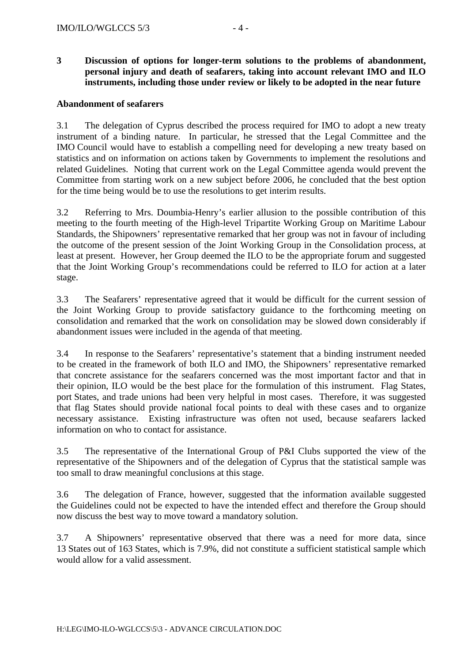## **3 Discussion of options for longer-term solutions to the problems of abandonment, personal injury and death of seafarers, taking into account relevant IMO and ILO instruments, including those under review or likely to be adopted in the near future**

#### **Abandonment of seafarers**

3.1 The delegation of Cyprus described the process required for IMO to adopt a new treaty instrument of a binding nature. In particular, he stressed that the Legal Committee and the IMO Council would have to establish a compelling need for developing a new treaty based on statistics and on information on actions taken by Governments to implement the resolutions and related Guidelines. Noting that current work on the Legal Committee agenda would prevent the Committee from starting work on a new subject before 2006, he concluded that the best option for the time being would be to use the resolutions to get interim results.

3.2 Referring to Mrs. Doumbia-Henry's earlier allusion to the possible contribution of this meeting to the fourth meeting of the High-level Tripartite Working Group on Maritime Labour Standards, the Shipowners' representative remarked that her group was not in favour of including the outcome of the present session of the Joint Working Group in the Consolidation process, at least at present. However, her Group deemed the ILO to be the appropriate forum and suggested that the Joint Working Group's recommendations could be referred to ILO for action at a later stage.

3.3 The Seafarers' representative agreed that it would be difficult for the current session of the Joint Working Group to provide satisfactory guidance to the forthcoming meeting on consolidation and remarked that the work on consolidation may be slowed down considerably if abandonment issues were included in the agenda of that meeting.

3.4 In response to the Seafarers' representative's statement that a binding instrument needed to be created in the framework of both ILO and IMO, the Shipowners' representative remarked that concrete assistance for the seafarers concerned was the most important factor and that in their opinion, ILO would be the best place for the formulation of this instrument. Flag States, port States, and trade unions had been very helpful in most cases. Therefore, it was suggested that flag States should provide national focal points to deal with these cases and to organize necessary assistance. Existing infrastructure was often not used, because seafarers lacked information on who to contact for assistance.

3.5 The representative of the International Group of P&I Clubs supported the view of the representative of the Shipowners and of the delegation of Cyprus that the statistical sample was too small to draw meaningful conclusions at this stage.

3.6 The delegation of France, however, suggested that the information available suggested the Guidelines could not be expected to have the intended effect and therefore the Group should now discuss the best way to move toward a mandatory solution.

3.7 A Shipowners' representative observed that there was a need for more data, since 13 States out of 163 States, which is 7.9%, did not constitute a sufficient statistical sample which would allow for a valid assessment.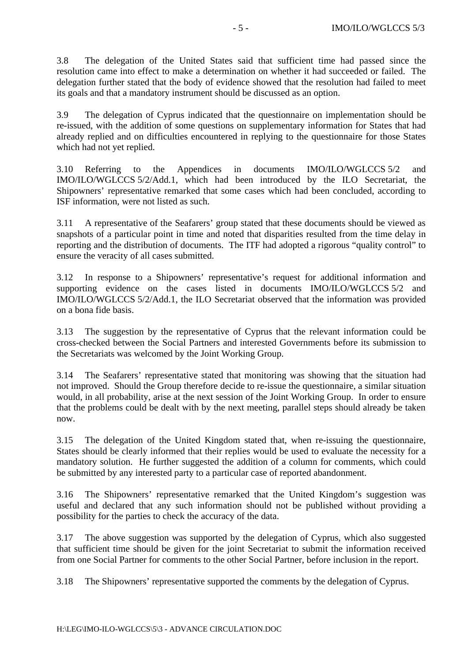3.8 The delegation of the United States said that sufficient time had passed since the resolution came into effect to make a determination on whether it had succeeded or failed. The delegation further stated that the body of evidence showed that the resolution had failed to meet its goals and that a mandatory instrument should be discussed as an option.

3.9 The delegation of Cyprus indicated that the questionnaire on implementation should be re-issued, with the addition of some questions on supplementary information for States that had already replied and on difficulties encountered in replying to the questionnaire for those States which had not yet replied.

3.10 Referring to the Appendices in documents IMO/ILO/WGLCCS 5/2 and IMO/ILO/WGLCCS 5/2/Add.1, which had been introduced by the ILO Secretariat, the Shipowners' representative remarked that some cases which had been concluded, according to ISF information, were not listed as such.

3.11 A representative of the Seafarers' group stated that these documents should be viewed as snapshots of a particular point in time and noted that disparities resulted from the time delay in reporting and the distribution of documents. The ITF had adopted a rigorous "quality control" to ensure the veracity of all cases submitted.

3.12 In response to a Shipowners' representative's request for additional information and supporting evidence on the cases listed in documents IMO/ILO/WGLCCS 5/2 and IMO/ILO/WGLCCS 5/2/Add.1, the ILO Secretariat observed that the information was provided on a bona fide basis.

3.13 The suggestion by the representative of Cyprus that the relevant information could be cross-checked between the Social Partners and interested Governments before its submission to the Secretariats was welcomed by the Joint Working Group.

3.14 The Seafarers' representative stated that monitoring was showing that the situation had not improved. Should the Group therefore decide to re-issue the questionnaire, a similar situation would, in all probability, arise at the next session of the Joint Working Group. In order to ensure that the problems could be dealt with by the next meeting, parallel steps should already be taken now.

3.15 The delegation of the United Kingdom stated that, when re-issuing the questionnaire, States should be clearly informed that their replies would be used to evaluate the necessity for a mandatory solution. He further suggested the addition of a column for comments, which could be submitted by any interested party to a particular case of reported abandonment.

3.16 The Shipowners' representative remarked that the United Kingdom's suggestion was useful and declared that any such information should not be published without providing a possibility for the parties to check the accuracy of the data.

3.17 The above suggestion was supported by the delegation of Cyprus, which also suggested that sufficient time should be given for the joint Secretariat to submit the information received from one Social Partner for comments to the other Social Partner, before inclusion in the report.

3.18 The Shipowners' representative supported the comments by the delegation of Cyprus.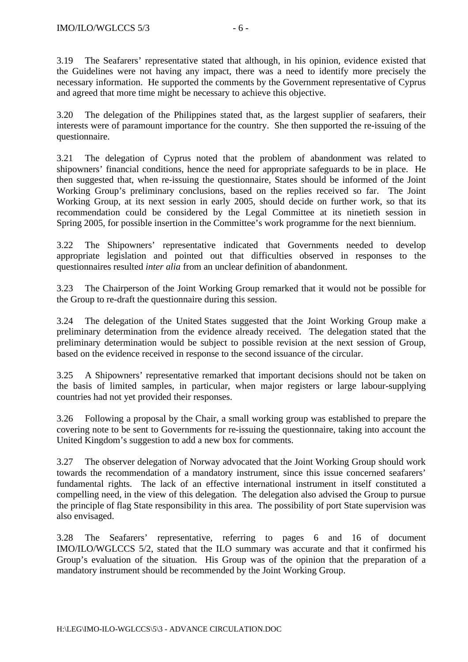3.19 The Seafarers' representative stated that although, in his opinion, evidence existed that the Guidelines were not having any impact, there was a need to identify more precisely the necessary information. He supported the comments by the Government representative of Cyprus and agreed that more time might be necessary to achieve this objective.

3.20 The delegation of the Philippines stated that, as the largest supplier of seafarers, their interests were of paramount importance for the country. She then supported the re-issuing of the questionnaire.

3.21 The delegation of Cyprus noted that the problem of abandonment was related to shipowners' financial conditions, hence the need for appropriate safeguards to be in place. He then suggested that, when re-issuing the questionnaire, States should be informed of the Joint Working Group's preliminary conclusions, based on the replies received so far. The Joint Working Group, at its next session in early 2005, should decide on further work, so that its recommendation could be considered by the Legal Committee at its ninetieth session in Spring 2005, for possible insertion in the Committee's work programme for the next biennium.

3.22 The Shipowners' representative indicated that Governments needed to develop appropriate legislation and pointed out that difficulties observed in responses to the questionnaires resulted *inter alia* from an unclear definition of abandonment.

3.23 The Chairperson of the Joint Working Group remarked that it would not be possible for the Group to re-draft the questionnaire during this session.

3.24 The delegation of the United States suggested that the Joint Working Group make a preliminary determination from the evidence already received. The delegation stated that the preliminary determination would be subject to possible revision at the next session of Group, based on the evidence received in response to the second issuance of the circular.

3.25 A Shipowners' representative remarked that important decisions should not be taken on the basis of limited samples, in particular, when major registers or large labour-supplying countries had not yet provided their responses.

3.26 Following a proposal by the Chair, a small working group was established to prepare the covering note to be sent to Governments for re-issuing the questionnaire, taking into account the United Kingdom's suggestion to add a new box for comments.

3.27 The observer delegation of Norway advocated that the Joint Working Group should work towards the recommendation of a mandatory instrument, since this issue concerned seafarers' fundamental rights. The lack of an effective international instrument in itself constituted a compelling need, in the view of this delegation. The delegation also advised the Group to pursue the principle of flag State responsibility in this area. The possibility of port State supervision was also envisaged.

3.28 The Seafarers' representative, referring to pages 6 and 16 of document IMO/ILO/WGLCCS 5/2, stated that the ILO summary was accurate and that it confirmed his Group's evaluation of the situation. His Group was of the opinion that the preparation of a mandatory instrument should be recommended by the Joint Working Group.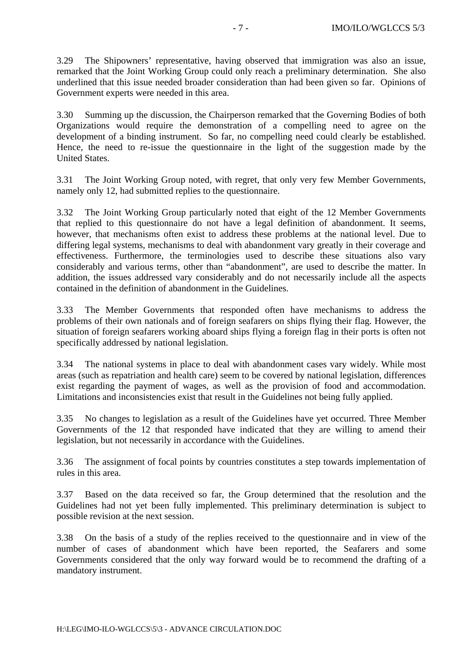3.29 The Shipowners' representative, having observed that immigration was also an issue, remarked that the Joint Working Group could only reach a preliminary determination. She also underlined that this issue needed broader consideration than had been given so far. Opinions of Government experts were needed in this area.

3.30 Summing up the discussion, the Chairperson remarked that the Governing Bodies of both Organizations would require the demonstration of a compelling need to agree on the development of a binding instrument. So far, no compelling need could clearly be established. Hence, the need to re-issue the questionnaire in the light of the suggestion made by the United States.

3.31 The Joint Working Group noted, with regret, that only very few Member Governments, namely only 12, had submitted replies to the questionnaire.

3.32 The Joint Working Group particularly noted that eight of the 12 Member Governments that replied to this questionnaire do not have a legal definition of abandonment. It seems, however, that mechanisms often exist to address these problems at the national level. Due to differing legal systems, mechanisms to deal with abandonment vary greatly in their coverage and effectiveness. Furthermore, the terminologies used to describe these situations also vary considerably and various terms, other than "abandonment", are used to describe the matter. In addition, the issues addressed vary considerably and do not necessarily include all the aspects contained in the definition of abandonment in the Guidelines.

3.33 The Member Governments that responded often have mechanisms to address the problems of their own nationals and of foreign seafarers on ships flying their flag. However, the situation of foreign seafarers working aboard ships flying a foreign flag in their ports is often not specifically addressed by national legislation.

3.34 The national systems in place to deal with abandonment cases vary widely. While most areas (such as repatriation and health care) seem to be covered by national legislation, differences exist regarding the payment of wages, as well as the provision of food and accommodation. Limitations and inconsistencies exist that result in the Guidelines not being fully applied.

3.35 No changes to legislation as a result of the Guidelines have yet occurred. Three Member Governments of the 12 that responded have indicated that they are willing to amend their legislation, but not necessarily in accordance with the Guidelines.

3.36 The assignment of focal points by countries constitutes a step towards implementation of rules in this area.

3.37 Based on the data received so far, the Group determined that the resolution and the Guidelines had not yet been fully implemented. This preliminary determination is subject to possible revision at the next session.

3.38 On the basis of a study of the replies received to the questionnaire and in view of the number of cases of abandonment which have been reported, the Seafarers and some Governments considered that the only way forward would be to recommend the drafting of a mandatory instrument.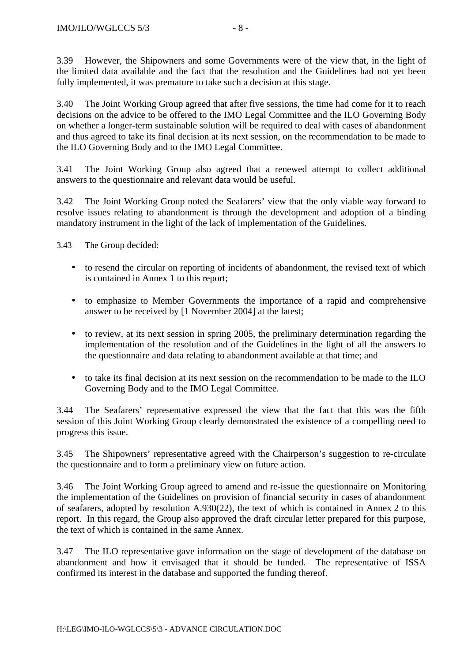3.40 The Joint Working Group agreed that after five sessions, the time had come for it to reach decisions on the advice to be offered to the IMO Legal Committee and the ILO Governing Body on whether a longer-term sustainable solution will be required to deal with cases of abandonment and thus agreed to take its final decision at its next session, on the recommendation to be made to the ILO Governing Body and to the IMO Legal Committee.

3.41 The Joint Working Group also agreed that a renewed attempt to collect additional answers to the questionnaire and relevant data would be useful.

3.42 The Joint Working Group noted the Seafarers' view that the only viable way forward to resolve issues relating to abandonment is through the development and adoption of a binding mandatory instrument in the light of the lack of implementation of the Guidelines.

3.43 The Group decided:

- to resend the circular on reporting of incidents of abandonment, the revised text of which is contained in Annex 1 to this report;
- to emphasize to Member Governments the importance of a rapid and comprehensive answer to be received by [1 November 2004] at the latest;
- to review, at its next session in spring 2005, the preliminary determination regarding the implementation of the resolution and of the Guidelines in the light of all the answers to the questionnaire and data relating to abandonment available at that time; and
- to take its final decision at its next session on the recommendation to be made to the ILO Governing Body and to the IMO Legal Committee.

3.44 The Seafarers' representative expressed the view that the fact that this was the fifth session of this Joint Working Group clearly demonstrated the existence of a compelling need to progress this issue.

3.45 The Shipowners' representative agreed with the Chairperson's suggestion to re-circulate the questionnaire and to form a preliminary view on future action.

3.46 The Joint Working Group agreed to amend and re-issue the questionnaire on Monitoring the implementation of the Guidelines on provision of financial security in cases of abandonment of seafarers, adopted by resolution A.930(22), the text of which is contained in Annex 2 to this report. In this regard, the Group also approved the draft circular letter prepared for this purpose, the text of which is contained in the same Annex.

3.47 The ILO representative gave information on the stage of development of the database on abandonment and how it envisaged that it should be funded. The representative of ISSA confirmed its interest in the database and supported the funding thereof.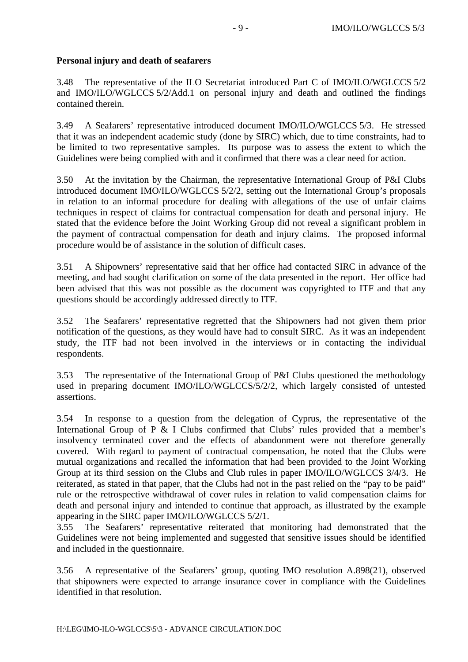## **Personal injury and death of seafarers**

3.48 The representative of the ILO Secretariat introduced Part C of IMO/ILO/WGLCCS 5/2 and IMO/ILO/WGLCCS 5/2/Add.1 on personal injury and death and outlined the findings contained therein.

3.49 A Seafarers' representative introduced document IMO/ILO/WGLCCS 5/3. He stressed that it was an independent academic study (done by SIRC) which, due to time constraints, had to be limited to two representative samples. Its purpose was to assess the extent to which the Guidelines were being complied with and it confirmed that there was a clear need for action.

3.50 At the invitation by the Chairman, the representative International Group of P&I Clubs introduced document IMO/ILO/WGLCCS 5/2/2, setting out the International Group's proposals in relation to an informal procedure for dealing with allegations of the use of unfair claims techniques in respect of claims for contractual compensation for death and personal injury. He stated that the evidence before the Joint Working Group did not reveal a significant problem in the payment of contractual compensation for death and injury claims. The proposed informal procedure would be of assistance in the solution of difficult cases.

3.51 A Shipowners' representative said that her office had contacted SIRC in advance of the meeting, and had sought clarification on some of the data presented in the report. Her office had been advised that this was not possible as the document was copyrighted to ITF and that any questions should be accordingly addressed directly to ITF.

3.52 The Seafarers' representative regretted that the Shipowners had not given them prior notification of the questions, as they would have had to consult SIRC. As it was an independent study, the ITF had not been involved in the interviews or in contacting the individual respondents.

3.53 The representative of the International Group of P&I Clubs questioned the methodology used in preparing document IMO/ILO/WGLCCS/5/2/2, which largely consisted of untested assertions.

3.54 In response to a question from the delegation of Cyprus, the representative of the International Group of P & I Clubs confirmed that Clubs' rules provided that a member's insolvency terminated cover and the effects of abandonment were not therefore generally covered. With regard to payment of contractual compensation, he noted that the Clubs were mutual organizations and recalled the information that had been provided to the Joint Working Group at its third session on the Clubs and Club rules in paper IMO/ILO/WGLCCS 3/4/3. He reiterated, as stated in that paper, that the Clubs had not in the past relied on the "pay to be paid" rule or the retrospective withdrawal of cover rules in relation to valid compensation claims for death and personal injury and intended to continue that approach, as illustrated by the example appearing in the SIRC paper IMO/ILO/WGLCCS 5/2/1.

3.55 The Seafarers' representative reiterated that monitoring had demonstrated that the Guidelines were not being implemented and suggested that sensitive issues should be identified and included in the questionnaire.

3.56 A representative of the Seafarers' group, quoting IMO resolution A.898(21), observed that shipowners were expected to arrange insurance cover in compliance with the Guidelines identified in that resolution.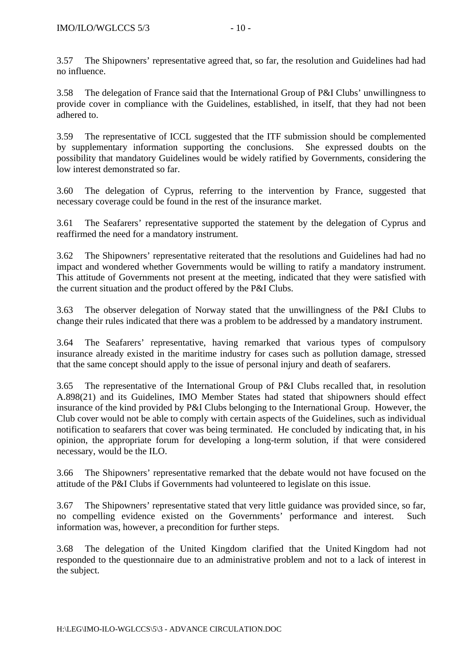3.57 The Shipowners' representative agreed that, so far, the resolution and Guidelines had had no influence.

3.58 The delegation of France said that the International Group of P&I Clubs' unwillingness to provide cover in compliance with the Guidelines, established, in itself, that they had not been adhered to.

3.59 The representative of ICCL suggested that the ITF submission should be complemented by supplementary information supporting the conclusions. She expressed doubts on the possibility that mandatory Guidelines would be widely ratified by Governments, considering the low interest demonstrated so far.

3.60 The delegation of Cyprus, referring to the intervention by France, suggested that necessary coverage could be found in the rest of the insurance market.

3.61 The Seafarers' representative supported the statement by the delegation of Cyprus and reaffirmed the need for a mandatory instrument.

3.62 The Shipowners' representative reiterated that the resolutions and Guidelines had had no impact and wondered whether Governments would be willing to ratify a mandatory instrument. This attitude of Governments not present at the meeting, indicated that they were satisfied with the current situation and the product offered by the P&I Clubs.

3.63 The observer delegation of Norway stated that the unwillingness of the P&I Clubs to change their rules indicated that there was a problem to be addressed by a mandatory instrument.

3.64 The Seafarers' representative, having remarked that various types of compulsory insurance already existed in the maritime industry for cases such as pollution damage, stressed that the same concept should apply to the issue of personal injury and death of seafarers.

3.65 The representative of the International Group of P&I Clubs recalled that, in resolution A.898(21) and its Guidelines, IMO Member States had stated that shipowners should effect insurance of the kind provided by P&I Clubs belonging to the International Group. However, the Club cover would not be able to comply with certain aspects of the Guidelines, such as individual notification to seafarers that cover was being terminated. He concluded by indicating that, in his opinion, the appropriate forum for developing a long-term solution, if that were considered necessary, would be the ILO.

3.66 The Shipowners' representative remarked that the debate would not have focused on the attitude of the P&I Clubs if Governments had volunteered to legislate on this issue.

3.67 The Shipowners' representative stated that very little guidance was provided since, so far, no compelling evidence existed on the Governments' performance and interest. Such information was, however, a precondition for further steps.

3.68 The delegation of the United Kingdom clarified that the United Kingdom had not responded to the questionnaire due to an administrative problem and not to a lack of interest in the subject.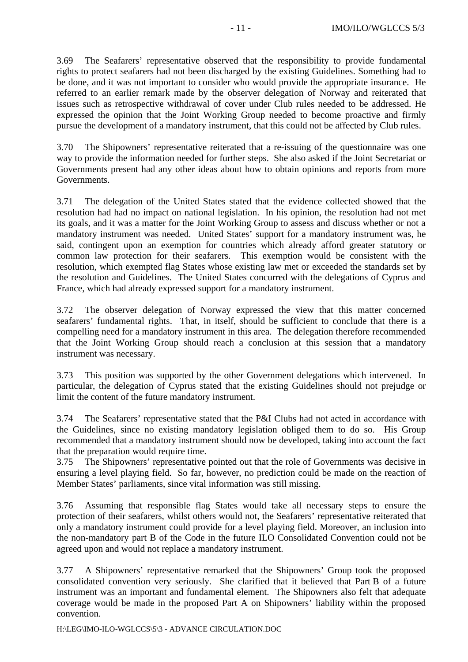3.69 The Seafarers' representative observed that the responsibility to provide fundamental rights to protect seafarers had not been discharged by the existing Guidelines. Something had to be done, and it was not important to consider who would provide the appropriate insurance. He referred to an earlier remark made by the observer delegation of Norway and reiterated that issues such as retrospective withdrawal of cover under Club rules needed to be addressed. He expressed the opinion that the Joint Working Group needed to become proactive and firmly pursue the development of a mandatory instrument, that this could not be affected by Club rules.

3.70 The Shipowners' representative reiterated that a re-issuing of the questionnaire was one way to provide the information needed for further steps. She also asked if the Joint Secretariat or Governments present had any other ideas about how to obtain opinions and reports from more Governments.

3.71 The delegation of the United States stated that the evidence collected showed that the resolution had had no impact on national legislation. In his opinion, the resolution had not met its goals, and it was a matter for the Joint Working Group to assess and discuss whether or not a mandatory instrument was needed. United States' support for a mandatory instrument was, he said, contingent upon an exemption for countries which already afford greater statutory or common law protection for their seafarers. This exemption would be consistent with the resolution, which exempted flag States whose existing law met or exceeded the standards set by the resolution and Guidelines. The United States concurred with the delegations of Cyprus and France, which had already expressed support for a mandatory instrument.

3.72 The observer delegation of Norway expressed the view that this matter concerned seafarers' fundamental rights. That, in itself, should be sufficient to conclude that there is a compelling need for a mandatory instrument in this area. The delegation therefore recommended that the Joint Working Group should reach a conclusion at this session that a mandatory instrument was necessary.

3.73 This position was supported by the other Government delegations which intervened. In particular, the delegation of Cyprus stated that the existing Guidelines should not prejudge or limit the content of the future mandatory instrument.

3.74 The Seafarers' representative stated that the P&I Clubs had not acted in accordance with the Guidelines, since no existing mandatory legislation obliged them to do so. His Group recommended that a mandatory instrument should now be developed, taking into account the fact that the preparation would require time.

3.75 The Shipowners' representative pointed out that the role of Governments was decisive in ensuring a level playing field. So far, however, no prediction could be made on the reaction of Member States' parliaments, since vital information was still missing.

3.76 Assuming that responsible flag States would take all necessary steps to ensure the protection of their seafarers, whilst others would not, the Seafarers' representative reiterated that only a mandatory instrument could provide for a level playing field. Moreover, an inclusion into the non-mandatory part B of the Code in the future ILO Consolidated Convention could not be agreed upon and would not replace a mandatory instrument.

3.77 A Shipowners' representative remarked that the Shipowners' Group took the proposed consolidated convention very seriously. She clarified that it believed that Part B of a future instrument was an important and fundamental element. The Shipowners also felt that adequate coverage would be made in the proposed Part A on Shipowners' liability within the proposed convention.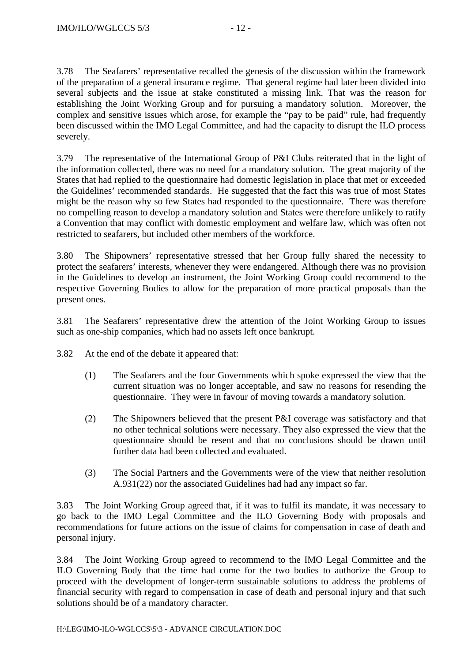3.78 The Seafarers' representative recalled the genesis of the discussion within the framework of the preparation of a general insurance regime. That general regime had later been divided into several subjects and the issue at stake constituted a missing link. That was the reason for establishing the Joint Working Group and for pursuing a mandatory solution. Moreover, the complex and sensitive issues which arose, for example the "pay to be paid" rule, had frequently been discussed within the IMO Legal Committee, and had the capacity to disrupt the ILO process severely.

3.79 The representative of the International Group of P&I Clubs reiterated that in the light of the information collected, there was no need for a mandatory solution. The great majority of the States that had replied to the questionnaire had domestic legislation in place that met or exceeded the Guidelines' recommended standards. He suggested that the fact this was true of most States might be the reason why so few States had responded to the questionnaire. There was therefore no compelling reason to develop a mandatory solution and States were therefore unlikely to ratify a Convention that may conflict with domestic employment and welfare law, which was often not restricted to seafarers, but included other members of the workforce.

3.80 The Shipowners' representative stressed that her Group fully shared the necessity to protect the seafarers' interests, whenever they were endangered. Although there was no provision in the Guidelines to develop an instrument, the Joint Working Group could recommend to the respective Governing Bodies to allow for the preparation of more practical proposals than the present ones.

3.81 The Seafarers' representative drew the attention of the Joint Working Group to issues such as one-ship companies, which had no assets left once bankrupt.

3.82 At the end of the debate it appeared that:

- (1) The Seafarers and the four Governments which spoke expressed the view that the current situation was no longer acceptable, and saw no reasons for resending the questionnaire. They were in favour of moving towards a mandatory solution.
- (2) The Shipowners believed that the present P&I coverage was satisfactory and that no other technical solutions were necessary. They also expressed the view that the questionnaire should be resent and that no conclusions should be drawn until further data had been collected and evaluated.
- (3) The Social Partners and the Governments were of the view that neither resolution A.931(22) nor the associated Guidelines had had any impact so far.

3.83 The Joint Working Group agreed that, if it was to fulfil its mandate, it was necessary to go back to the IMO Legal Committee and the ILO Governing Body with proposals and recommendations for future actions on the issue of claims for compensation in case of death and personal injury.

3.84 The Joint Working Group agreed to recommend to the IMO Legal Committee and the ILO Governing Body that the time had come for the two bodies to authorize the Group to proceed with the development of longer-term sustainable solutions to address the problems of financial security with regard to compensation in case of death and personal injury and that such solutions should be of a mandatory character.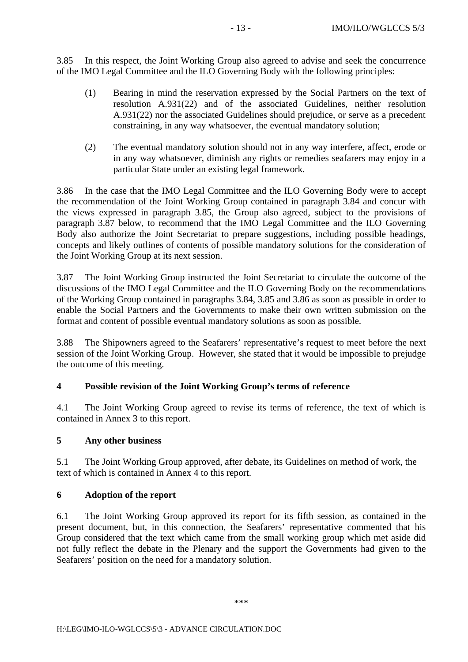3.85 In this respect, the Joint Working Group also agreed to advise and seek the concurrence of the IMO Legal Committee and the ILO Governing Body with the following principles:

- (1) Bearing in mind the reservation expressed by the Social Partners on the text of resolution A.931(22) and of the associated Guidelines, neither resolution A.931(22) nor the associated Guidelines should prejudice, or serve as a precedent constraining, in any way whatsoever, the eventual mandatory solution;
- (2) The eventual mandatory solution should not in any way interfere, affect, erode or in any way whatsoever, diminish any rights or remedies seafarers may enjoy in a particular State under an existing legal framework.

3.86 In the case that the IMO Legal Committee and the ILO Governing Body were to accept the recommendation of the Joint Working Group contained in paragraph 3.84 and concur with the views expressed in paragraph 3.85, the Group also agreed, subject to the provisions of paragraph 3.87 below, to recommend that the IMO Legal Committee and the ILO Governing Body also authorize the Joint Secretariat to prepare suggestions, including possible headings, concepts and likely outlines of contents of possible mandatory solutions for the consideration of the Joint Working Group at its next session.

3.87 The Joint Working Group instructed the Joint Secretariat to circulate the outcome of the discussions of the IMO Legal Committee and the ILO Governing Body on the recommendations of the Working Group contained in paragraphs 3.84, 3.85 and 3.86 as soon as possible in order to enable the Social Partners and the Governments to make their own written submission on the format and content of possible eventual mandatory solutions as soon as possible.

3.88 The Shipowners agreed to the Seafarers' representative's request to meet before the next session of the Joint Working Group. However, she stated that it would be impossible to prejudge the outcome of this meeting.

## **4 Possible revision of the Joint Working Group's terms of reference**

4.1 The Joint Working Group agreed to revise its terms of reference, the text of which is contained in Annex 3 to this report.

## **5 Any other business**

5.1 The Joint Working Group approved, after debate, its Guidelines on method of work, the text of which is contained in Annex 4 to this report.

## **6 Adoption of the report**

6.1 The Joint Working Group approved its report for its fifth session, as contained in the present document, but, in this connection, the Seafarers' representative commented that his Group considered that the text which came from the small working group which met aside did not fully reflect the debate in the Plenary and the support the Governments had given to the Seafarers' position on the need for a mandatory solution.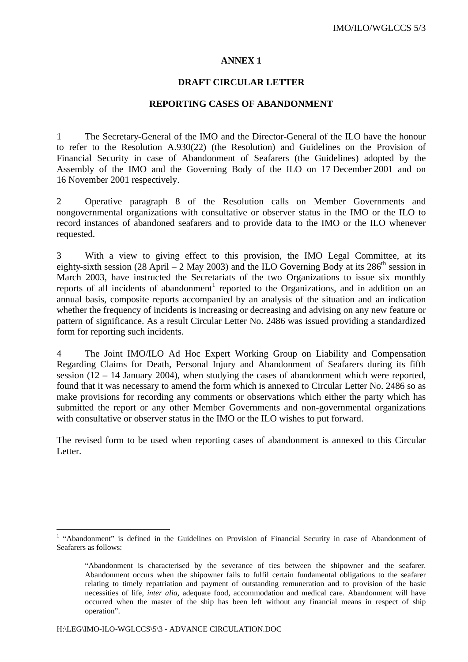#### **DRAFT CIRCULAR LETTER**

#### **REPORTING CASES OF ABANDONMENT**

1 The Secretary-General of the IMO and the Director-General of the ILO have the honour to refer to the Resolution A.930(22) (the Resolution) and Guidelines on the Provision of Financial Security in case of Abandonment of Seafarers (the Guidelines) adopted by the Assembly of the IMO and the Governing Body of the ILO on 17 December 2001 and on 16 November 2001 respectively.

2 Operative paragraph 8 of the Resolution calls on Member Governments and nongovernmental organizations with consultative or observer status in the IMO or the ILO to record instances of abandoned seafarers and to provide data to the IMO or the ILO whenever requested.

3 With a view to giving effect to this provision, the IMO Legal Committee, at its eighty-sixth session (28 April – 2 May 2003) and the ILO Governing Body at its 286<sup>th</sup> session in March 2003, have instructed the Secretariats of the two Organizations to issue six monthly reports of all incidents of abandonment<sup>1</sup> reported to the Organizations, and in addition on an annual basis, composite reports accompanied by an analysis of the situation and an indication whether the frequency of incidents is increasing or decreasing and advising on any new feature or pattern of significance. As a result Circular Letter No. 2486 was issued providing a standardized form for reporting such incidents.

4 The Joint IMO/ILO Ad Hoc Expert Working Group on Liability and Compensation Regarding Claims for Death, Personal Injury and Abandonment of Seafarers during its fifth session  $(12 - 14$  January 2004), when studying the cases of abandonment which were reported, found that it was necessary to amend the form which is annexed to Circular Letter No. 2486 so as make provisions for recording any comments or observations which either the party which has submitted the report or any other Member Governments and non-governmental organizations with consultative or observer status in the IMO or the ILO wishes to put forward.

The revised form to be used when reporting cases of abandonment is annexed to this Circular Letter.

 $\overline{a}$ 

<sup>&</sup>lt;sup>1</sup> "Abandonment" is defined in the Guidelines on Provision of Financial Security in case of Abandonment of Seafarers as follows:

<sup>&</sup>quot;Abandonment is characterised by the severance of ties between the shipowner and the seafarer. Abandonment occurs when the shipowner fails to fulfil certain fundamental obligations to the seafarer relating to timely repatriation and payment of outstanding remuneration and to provision of the basic necessities of life, *inter alia,* adequate food, accommodation and medical care. Abandonment will have occurred when the master of the ship has been left without any financial means in respect of ship operation".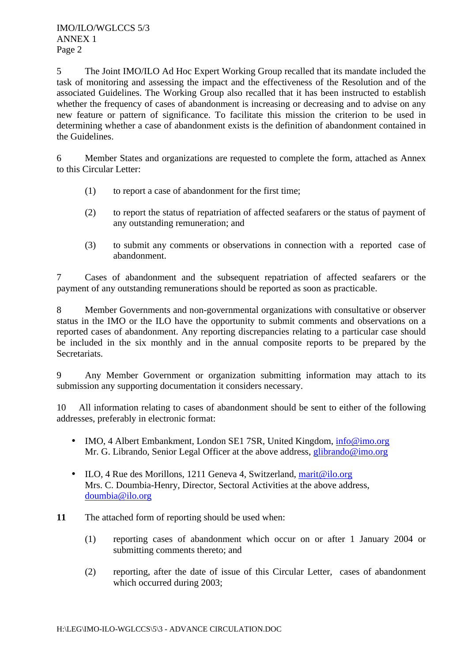5 The Joint IMO/ILO Ad Hoc Expert Working Group recalled that its mandate included the task of monitoring and assessing the impact and the effectiveness of the Resolution and of the associated Guidelines. The Working Group also recalled that it has been instructed to establish whether the frequency of cases of abandonment is increasing or decreasing and to advise on any new feature or pattern of significance. To facilitate this mission the criterion to be used in determining whether a case of abandonment exists is the definition of abandonment contained in the Guidelines.

6 Member States and organizations are requested to complete the form, attached as Annex to this Circular Letter:

- (1) to report a case of abandonment for the first time;
- (2) to report the status of repatriation of affected seafarers or the status of payment of any outstanding remuneration; and
- (3) to submit any comments or observations in connection with a reported case of abandonment.

7 Cases of abandonment and the subsequent repatriation of affected seafarers or the payment of any outstanding remunerations should be reported as soon as practicable.

8 Member Governments and non-governmental organizations with consultative or observer status in the IMO or the ILO have the opportunity to submit comments and observations on a reported cases of abandonment. Any reporting discrepancies relating to a particular case should be included in the six monthly and in the annual composite reports to be prepared by the Secretariats.

9 Any Member Government or organization submitting information may attach to its submission any supporting documentation it considers necessary.

10 All information relating to cases of abandonment should be sent to either of the following addresses, preferably in electronic format:

- IMO, 4 Albert Embankment, London SE1 7SR, United Kingdom, info@imo.org Mr. G. Librando, Senior Legal Officer at the above address, glibrando@imo.org
- ILO, 4 Rue des Morillons, 1211 Geneva 4, Switzerland, marit@ilo.org Mrs. C. Doumbia-Henry, Director, Sectoral Activities at the above address, doumbia@ilo.org
- **11** The attached form of reporting should be used when:
	- (1) reporting cases of abandonment which occur on or after 1 January 2004 or submitting comments thereto; and
	- (2) reporting, after the date of issue of this Circular Letter, cases of abandonment which occurred during 2003;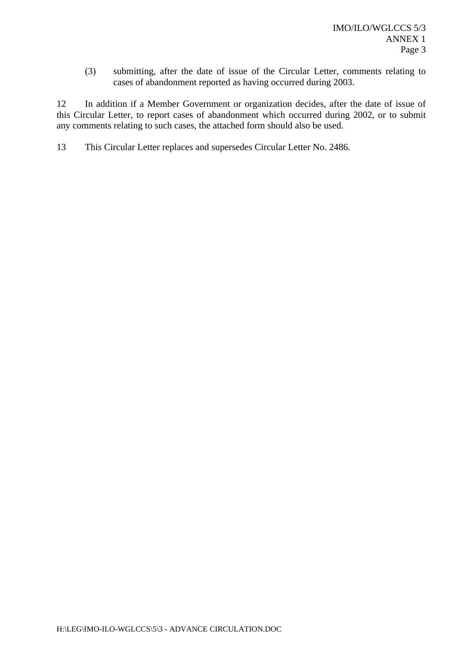(3) submitting, after the date of issue of the Circular Letter, comments relating to cases of abandonment reported as having occurred during 2003.

12 In addition if a Member Government or organization decides, after the date of issue of this Circular Letter, to report cases of abandonment which occurred during 2002, or to submit any comments relating to such cases, the attached form should also be used.

13 This Circular Letter replaces and supersedes Circular Letter No. 2486.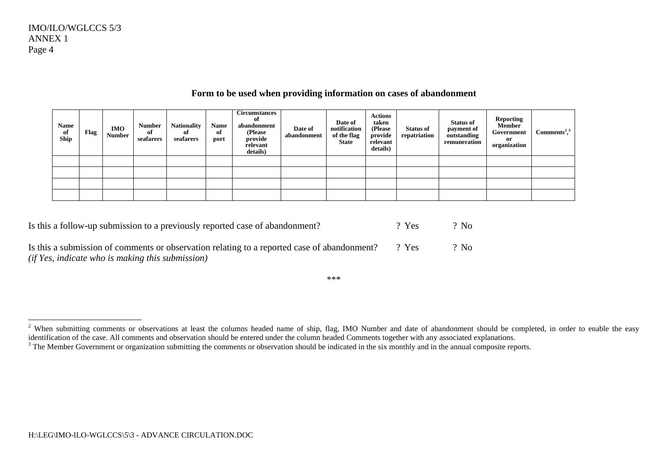| <b>Name</b><br>of<br>Ship | Flag | <b>IMO</b><br><b>Number</b> | <b>Number</b><br>of<br>seafarers | <b>Nationality</b><br>of<br>seafarers | <b>Name</b><br>of<br>port | <b>Circumstances</b><br>of<br>abandonment<br>(Please<br>provide<br>relevant<br>details) | Date of<br>abandonment | Date of<br>notification<br>of the flag<br><b>State</b> | <b>Actions</b><br>taken<br>(Please<br>provide<br>relevant<br>details) | <b>Status of</b><br>repatriation | <b>Status of</b><br>payment of<br>outstanding<br>remuneration | <b>Reporting</b><br>Member<br>Government<br>or<br>organization | Comments <sup>2,3</sup> |
|---------------------------|------|-----------------------------|----------------------------------|---------------------------------------|---------------------------|-----------------------------------------------------------------------------------------|------------------------|--------------------------------------------------------|-----------------------------------------------------------------------|----------------------------------|---------------------------------------------------------------|----------------------------------------------------------------|-------------------------|
|                           |      |                             |                                  |                                       |                           |                                                                                         |                        |                                                        |                                                                       |                                  |                                                               |                                                                |                         |
|                           |      |                             |                                  |                                       |                           |                                                                                         |                        |                                                        |                                                                       |                                  |                                                               |                                                                |                         |
|                           |      |                             |                                  |                                       |                           |                                                                                         |                        |                                                        |                                                                       |                                  |                                                               |                                                                |                         |
|                           |      |                             |                                  |                                       |                           |                                                                                         |                        |                                                        |                                                                       |                                  |                                                               |                                                                |                         |

## **Form to be used when providing information on cases of abandonment**

| Is this a follow-up submission to a previously reported case of abandonment?                                                                    | $2$ Yes | $?$ No |
|-------------------------------------------------------------------------------------------------------------------------------------------------|---------|--------|
| Is this a submission of comments or observation relating to a reported case of abandonment?<br>(if Yes, indicate who is making this submission) | ? Yes   | $?$ No |

<sup>&</sup>lt;sup>2</sup> When submitting comments or observations at least the columns headed name of ship, flag, IMO Number and date of abandonment should be completed, in order to enable the easy identification of the case. All comments and observation should be entered under the column headed Comments together with any associated explanations.

 $3$  The Member Government or organization submitting the comments or observation should be indicated in the six monthly and in the annual composite reports.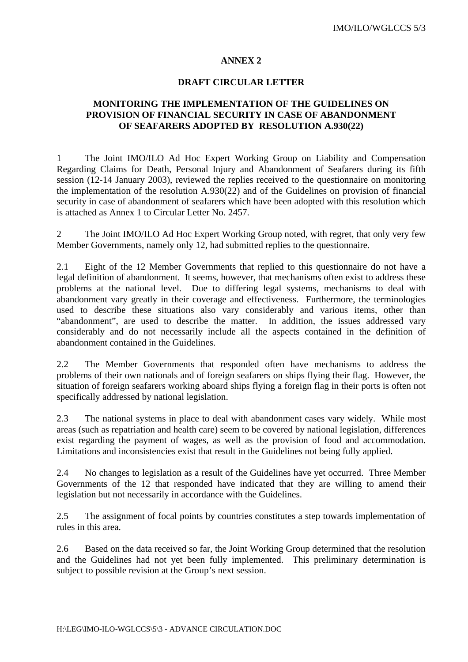#### **DRAFT CIRCULAR LETTER**

## **MONITORING THE IMPLEMENTATION OF THE GUIDELINES ON PROVISION OF FINANCIAL SECURITY IN CASE OF ABANDONMENT OF SEAFARERS ADOPTED BY RESOLUTION A.930(22)**

1 The Joint IMO/ILO Ad Hoc Expert Working Group on Liability and Compensation Regarding Claims for Death, Personal Injury and Abandonment of Seafarers during its fifth session (12-14 January 2003), reviewed the replies received to the questionnaire on monitoring the implementation of the resolution A.930(22) and of the Guidelines on provision of financial security in case of abandonment of seafarers which have been adopted with this resolution which is attached as Annex 1 to Circular Letter No. 2457.

2 The Joint IMO/ILO Ad Hoc Expert Working Group noted, with regret, that only very few Member Governments, namely only 12, had submitted replies to the questionnaire.

2.1 Eight of the 12 Member Governments that replied to this questionnaire do not have a legal definition of abandonment. It seems, however, that mechanisms often exist to address these problems at the national level. Due to differing legal systems, mechanisms to deal with abandonment vary greatly in their coverage and effectiveness. Furthermore, the terminologies used to describe these situations also vary considerably and various items, other than "abandonment", are used to describe the matter. In addition, the issues addressed vary considerably and do not necessarily include all the aspects contained in the definition of abandonment contained in the Guidelines.

2.2 The Member Governments that responded often have mechanisms to address the problems of their own nationals and of foreign seafarers on ships flying their flag. However, the situation of foreign seafarers working aboard ships flying a foreign flag in their ports is often not specifically addressed by national legislation.

2.3 The national systems in place to deal with abandonment cases vary widely. While most areas (such as repatriation and health care) seem to be covered by national legislation, differences exist regarding the payment of wages, as well as the provision of food and accommodation. Limitations and inconsistencies exist that result in the Guidelines not being fully applied.

2.4 No changes to legislation as a result of the Guidelines have yet occurred. Three Member Governments of the 12 that responded have indicated that they are willing to amend their legislation but not necessarily in accordance with the Guidelines.

2.5 The assignment of focal points by countries constitutes a step towards implementation of rules in this area.

2.6 Based on the data received so far, the Joint Working Group determined that the resolution and the Guidelines had not yet been fully implemented. This preliminary determination is subject to possible revision at the Group's next session.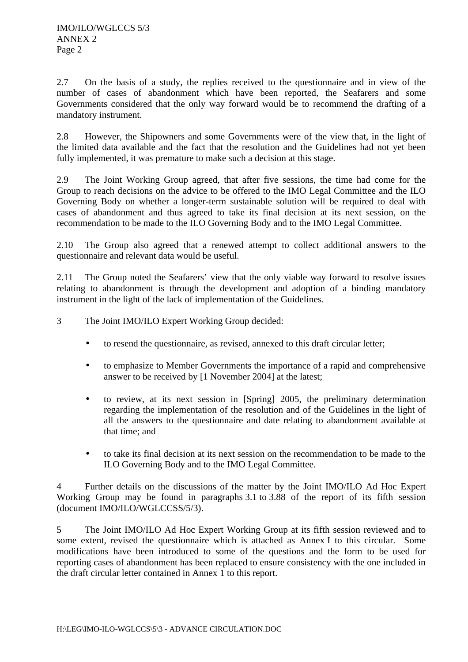2.7 On the basis of a study, the replies received to the questionnaire and in view of the number of cases of abandonment which have been reported, the Seafarers and some Governments considered that the only way forward would be to recommend the drafting of a mandatory instrument.

2.8 However, the Shipowners and some Governments were of the view that, in the light of the limited data available and the fact that the resolution and the Guidelines had not yet been fully implemented, it was premature to make such a decision at this stage.

2.9 The Joint Working Group agreed, that after five sessions, the time had come for the Group to reach decisions on the advice to be offered to the IMO Legal Committee and the ILO Governing Body on whether a longer-term sustainable solution will be required to deal with cases of abandonment and thus agreed to take its final decision at its next session, on the recommendation to be made to the ILO Governing Body and to the IMO Legal Committee.

2.10 The Group also agreed that a renewed attempt to collect additional answers to the questionnaire and relevant data would be useful.

2.11 The Group noted the Seafarers' view that the only viable way forward to resolve issues relating to abandonment is through the development and adoption of a binding mandatory instrument in the light of the lack of implementation of the Guidelines.

3 The Joint IMO/ILO Expert Working Group decided:

- to resend the questionnaire, as revised, annexed to this draft circular letter;
- to emphasize to Member Governments the importance of a rapid and comprehensive answer to be received by [1 November 2004] at the latest;
- to review, at its next session in [Spring] 2005, the preliminary determination regarding the implementation of the resolution and of the Guidelines in the light of all the answers to the questionnaire and date relating to abandonment available at that time; and
- to take its final decision at its next session on the recommendation to be made to the ILO Governing Body and to the IMO Legal Committee.

4 Further details on the discussions of the matter by the Joint IMO/ILO Ad Hoc Expert Working Group may be found in paragraphs 3.1 to 3.88 of the report of its fifth session (document IMO/ILO/WGLCCSS/5/3).

5 The Joint IMO/ILO Ad Hoc Expert Working Group at its fifth session reviewed and to some extent, revised the questionnaire which is attached as Annex I to this circular. Some modifications have been introduced to some of the questions and the form to be used for reporting cases of abandonment has been replaced to ensure consistency with the one included in the draft circular letter contained in Annex 1 to this report.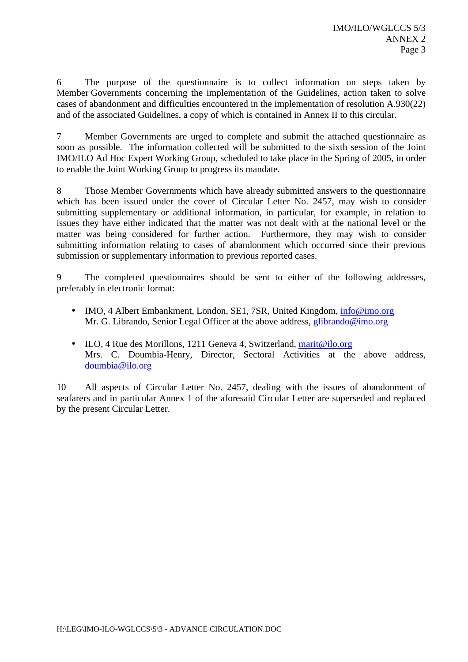6 The purpose of the questionnaire is to collect information on steps taken by Member Governments concerning the implementation of the Guidelines, action taken to solve cases of abandonment and difficulties encountered in the implementation of resolution A.930(22) and of the associated Guidelines, a copy of which is contained in Annex II to this circular.

7 Member Governments are urged to complete and submit the attached questionnaire as soon as possible. The information collected will be submitted to the sixth session of the Joint IMO/ILO Ad Hoc Expert Working Group, scheduled to take place in the Spring of 2005, in order to enable the Joint Working Group to progress its mandate.

8 Those Member Governments which have already submitted answers to the questionnaire which has been issued under the cover of Circular Letter No. 2457, may wish to consider submitting supplementary or additional information, in particular, for example, in relation to issues they have either indicated that the matter was not dealt with at the national level or the matter was being considered for further action. Furthermore, they may wish to consider submitting information relating to cases of abandonment which occurred since their previous submission or supplementary information to previous reported cases.

9 The completed questionnaires should be sent to either of the following addresses, preferably in electronic format:

- IMO, 4 Albert Embankment, London, SE1, 7SR, United Kingdom, info@imo.org Mr. G. Librando, Senior Legal Officer at the above address, glibrando@imo.org
- ILO, 4 Rue des Morillons, 1211 Geneva 4, Switzerland, marit@ilo.org Mrs. C. Doumbia-Henry, Director, Sectoral Activities at the above address, doumbia@ilo.org

10 All aspects of Circular Letter No. 2457, dealing with the issues of abandonment of seafarers and in particular Annex 1 of the aforesaid Circular Letter are superseded and replaced by the present Circular Letter.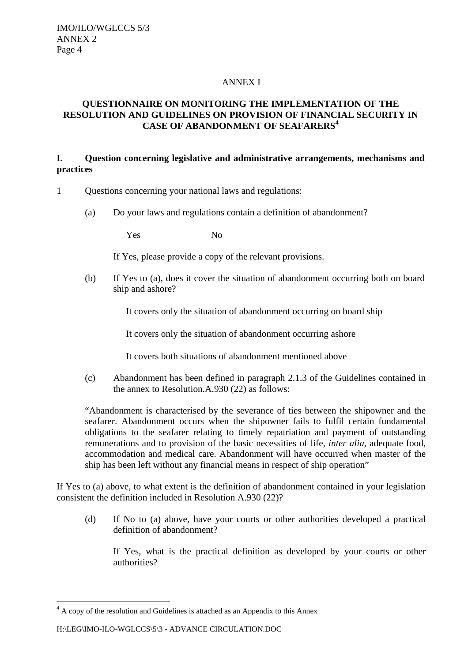## ANNEX I

## **QUESTIONNAIRE ON MONITORING THE IMPLEMENTATION OF THE RESOLUTION AND GUIDELINES ON PROVISION OF FINANCIAL SECURITY IN CASE OF ABANDONMENT OF SEAFARERS<sup>4</sup>**

## **I. Question concerning legislative and administrative arrangements, mechanisms and practices**

- 1 Questions concerning your national laws and regulations:
	- (a) Do your laws and regulations contain a definition of abandonment?

Yes No

If Yes, please provide a copy of the relevant provisions.

(b) If Yes to (a), does it cover the situation of abandonment occurring both on board ship and ashore?

It covers only the situation of abandonment occurring on board ship

It covers only the situation of abandonment occurring ashore

It covers both situations of abandonment mentioned above

(c) Abandonment has been defined in paragraph 2.1.3 of the Guidelines contained in the annex to Resolution.A.930 (22) as follows:

"Abandonment is characterised by the severance of ties between the shipowner and the seafarer. Abandonment occurs when the shipowner fails to fulfil certain fundamental obligations to the seafarer relating to timely repatriation and payment of outstanding remunerations and to provision of the basic necessities of life, *inter alia*, adequate food, accommodation and medical care. Abandonment will have occurred when master of the ship has been left without any financial means in respect of ship operation"

If Yes to (a) above, to what extent is the definition of abandonment contained in your legislation consistent the definition included in Resolution A.930 (22)?

(d) If No to (a) above, have your courts or other authorities developed a practical definition of abandonment?

If Yes, what is the practical definition as developed by your courts or other authorities?

 $\overline{a}$ 

<sup>&</sup>lt;sup>4</sup> A copy of the resolution and Guidelines is attached as an Appendix to this Annex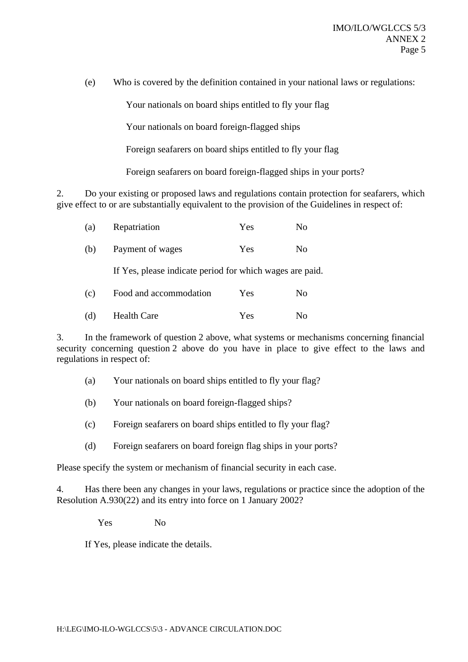(e) Who is covered by the definition contained in your national laws or regulations:

Your nationals on board ships entitled to fly your flag

Your nationals on board foreign-flagged ships

Foreign seafarers on board ships entitled to fly your flag

Foreign seafarers on board foreign-flagged ships in your ports?

2. Do your existing or proposed laws and regulations contain protection for seafarers, which give effect to or are substantially equivalent to the provision of the Guidelines in respect of:

| (a) | Repatriation                                             | Yes | N <sub>0</sub> |
|-----|----------------------------------------------------------|-----|----------------|
| (b) | Payment of wages                                         | Yes | N <sub>0</sub> |
|     | If Yes, please indicate period for which wages are paid. |     |                |
| (c) | Food and accommodation                                   | Yes | No             |
| (d) | <b>Health Care</b>                                       | Yes | N <sub>0</sub> |

3. In the framework of question 2 above, what systems or mechanisms concerning financial security concerning question 2 above do you have in place to give effect to the laws and regulations in respect of:

- (a) Your nationals on board ships entitled to fly your flag?
- (b) Your nationals on board foreign-flagged ships?
- (c) Foreign seafarers on board ships entitled to fly your flag?
- (d) Foreign seafarers on board foreign flag ships in your ports?

Please specify the system or mechanism of financial security in each case.

4. Has there been any changes in your laws, regulations or practice since the adoption of the Resolution A.930(22) and its entry into force on 1 January 2002?

Yes No

If Yes, please indicate the details.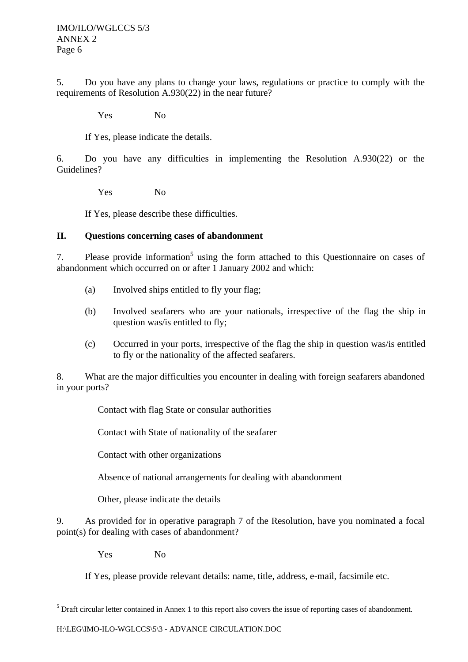5. Do you have any plans to change your laws, regulations or practice to comply with the requirements of Resolution A.930(22) in the near future?

Yes No

If Yes, please indicate the details.

6. Do you have any difficulties in implementing the Resolution A.930(22) or the Guidelines?

Yes No

If Yes, please describe these difficulties.

## **II. Questions concerning cases of abandonment**

7. Please provide information<sup>5</sup> using the form attached to this Questionnaire on cases of abandonment which occurred on or after 1 January 2002 and which:

- (a) Involved ships entitled to fly your flag;
- (b) Involved seafarers who are your nationals, irrespective of the flag the ship in question was/is entitled to fly;
- (c) Occurred in your ports, irrespective of the flag the ship in question was/is entitled to fly or the nationality of the affected seafarers.

8. What are the major difficulties you encounter in dealing with foreign seafarers abandoned in your ports?

Contact with flag State or consular authorities

Contact with State of nationality of the seafarer

Contact with other organizations

Absence of national arrangements for dealing with abandonment

Other, please indicate the details

9. As provided for in operative paragraph 7 of the Resolution, have you nominated a focal point(s) for dealing with cases of abandonment?

Yes No

 $\overline{a}$ 

If Yes, please provide relevant details: name, title, address, e-mail, facsimile etc.

 $<sup>5</sup>$  Draft circular letter contained in Annex 1 to this report also covers the issue of reporting cases of abandonment.</sup>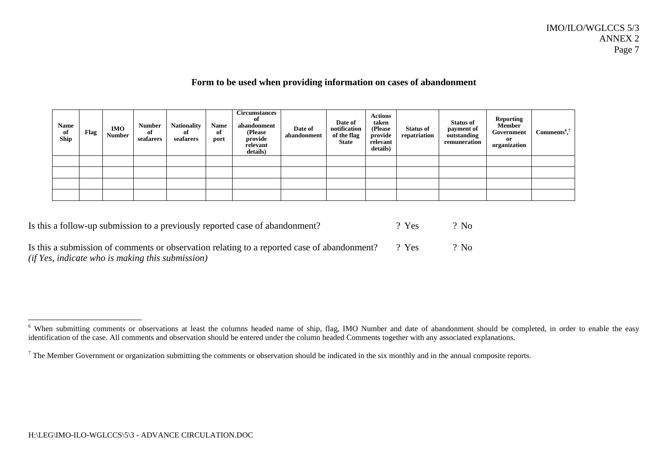## **Form to be used when providing information on cases of abandonment**

| <b>Name</b><br>of<br>Ship | Flag | <b>IMO</b><br><b>Number</b> | <b>Number</b><br>of<br>seafarers | <b>Nationality</b><br>of<br>seafarers | <b>Name</b><br>of<br>port | <b>Circumstances</b><br>of<br>abandonment<br>(Please)<br>provide<br>relevant<br>details) | Date of<br>abandonment | Date of<br>notification<br>of the flag<br><b>State</b> | <b>Actions</b><br>taken<br>(Please)<br>provide<br>relevant<br>details) | <b>Status of</b><br>repatriation | <b>Status of</b><br>payment of<br>outstanding<br>remuneration | Reporting<br>Member<br>Government<br>or<br>organization | $Comments^{\epsilon,7}$ |
|---------------------------|------|-----------------------------|----------------------------------|---------------------------------------|---------------------------|------------------------------------------------------------------------------------------|------------------------|--------------------------------------------------------|------------------------------------------------------------------------|----------------------------------|---------------------------------------------------------------|---------------------------------------------------------|-------------------------|
|                           |      |                             |                                  |                                       |                           |                                                                                          |                        |                                                        |                                                                        |                                  |                                                               |                                                         |                         |
|                           |      |                             |                                  |                                       |                           |                                                                                          |                        |                                                        |                                                                        |                                  |                                                               |                                                         |                         |
|                           |      |                             |                                  |                                       |                           |                                                                                          |                        |                                                        |                                                                        |                                  |                                                               |                                                         |                         |
|                           |      |                             |                                  |                                       |                           |                                                                                          |                        |                                                        |                                                                        |                                  |                                                               |                                                         |                         |

| Is this a follow-up submission to a previously reported case of abandonment?                      | $2$ Yes | $?$ No |
|---------------------------------------------------------------------------------------------------|---------|--------|
| Is this a submission of comments or observation relating to a reported case of abandonment? ? Yes |         | $?$ No |

*(if Yes, indicate who is making this submission)*

<sup>&</sup>lt;sup>6</sup> When submitting comments or observations at least the columns headed name of ship, flag, IMO Number and date of abandonment should be completed, in order to enable the easy identification of the case. All comments and observation should be entered under the column headed Comments together with any associated explanations.

 $<sup>7</sup>$  The Member Government or organization submitting the comments or observation should be indicated in the six monthly and in the annual composite reports.</sup>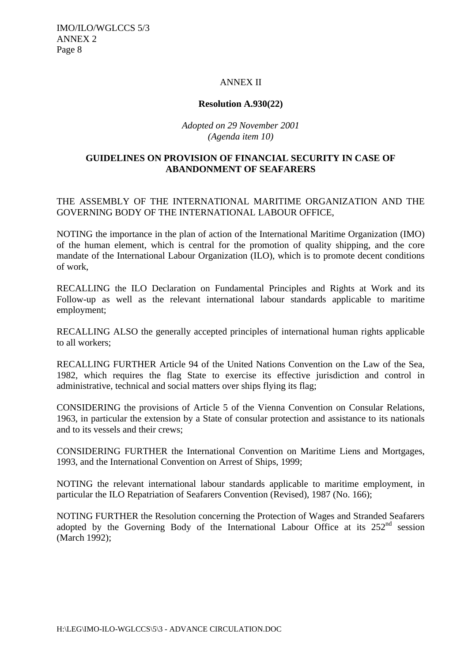IMO/ILO/WGLCCS 5/3 ANNEX 2 Page 8

## ANNEX II

## **Resolution A.930(22)**

## *Adopted on 29 November 2001 (Agenda item 10)*

## **GUIDELINES ON PROVISION OF FINANCIAL SECURITY IN CASE OF ABANDONMENT OF SEAFARERS**

## THE ASSEMBLY OF THE INTERNATIONAL MARITIME ORGANIZATION AND THE GOVERNING BODY OF THE INTERNATIONAL LABOUR OFFICE,

NOTING the importance in the plan of action of the International Maritime Organization (IMO) of the human element, which is central for the promotion of quality shipping, and the core mandate of the International Labour Organization (ILO), which is to promote decent conditions of work,

RECALLING the ILO Declaration on Fundamental Principles and Rights at Work and its Follow-up as well as the relevant international labour standards applicable to maritime employment;

RECALLING ALSO the generally accepted principles of international human rights applicable to all workers;

RECALLING FURTHER Article 94 of the United Nations Convention on the Law of the Sea, 1982, which requires the flag State to exercise its effective jurisdiction and control in administrative, technical and social matters over ships flying its flag;

CONSIDERING the provisions of Article 5 of the Vienna Convention on Consular Relations, 1963, in particular the extension by a State of consular protection and assistance to its nationals and to its vessels and their crews;

CONSIDERING FURTHER the International Convention on Maritime Liens and Mortgages, 1993, and the International Convention on Arrest of Ships, 1999;

NOTING the relevant international labour standards applicable to maritime employment, in particular the ILO Repatriation of Seafarers Convention (Revised), 1987 (No. 166);

NOTING FURTHER the Resolution concerning the Protection of Wages and Stranded Seafarers adopted by the Governing Body of the International Labour Office at its  $252<sup>nd</sup>$  session (March 1992);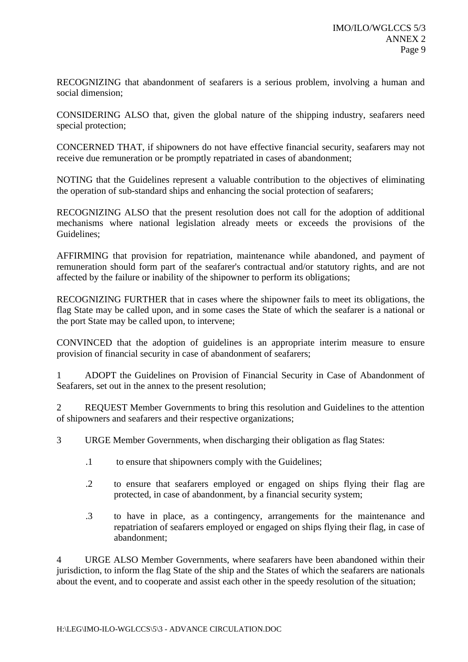RECOGNIZING that abandonment of seafarers is a serious problem, involving a human and social dimension;

CONSIDERING ALSO that, given the global nature of the shipping industry, seafarers need special protection;

CONCERNED THAT, if shipowners do not have effective financial security, seafarers may not receive due remuneration or be promptly repatriated in cases of abandonment;

NOTING that the Guidelines represent a valuable contribution to the objectives of eliminating the operation of sub-standard ships and enhancing the social protection of seafarers;

RECOGNIZING ALSO that the present resolution does not call for the adoption of additional mechanisms where national legislation already meets or exceeds the provisions of the Guidelines;

AFFIRMING that provision for repatriation, maintenance while abandoned, and payment of remuneration should form part of the seafarer's contractual and/or statutory rights, and are not affected by the failure or inability of the shipowner to perform its obligations;

RECOGNIZING FURTHER that in cases where the shipowner fails to meet its obligations, the flag State may be called upon, and in some cases the State of which the seafarer is a national or the port State may be called upon, to intervene;

CONVINCED that the adoption of guidelines is an appropriate interim measure to ensure provision of financial security in case of abandonment of seafarers;

1 ADOPT the Guidelines on Provision of Financial Security in Case of Abandonment of Seafarers, set out in the annex to the present resolution;

2 REQUEST Member Governments to bring this resolution and Guidelines to the attention of shipowners and seafarers and their respective organizations;

3 URGE Member Governments, when discharging their obligation as flag States:

- .1 to ensure that shipowners comply with the Guidelines;
- .2 to ensure that seafarers employed or engaged on ships flying their flag are protected, in case of abandonment, by a financial security system;
- .3 to have in place, as a contingency, arrangements for the maintenance and repatriation of seafarers employed or engaged on ships flying their flag, in case of abandonment;

4 URGE ALSO Member Governments, where seafarers have been abandoned within their jurisdiction, to inform the flag State of the ship and the States of which the seafarers are nationals about the event, and to cooperate and assist each other in the speedy resolution of the situation;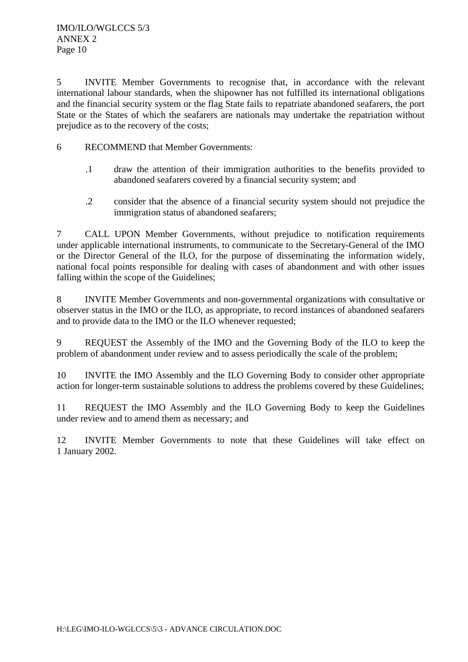5 INVITE Member Governments to recognise that, in accordance with the relevant international labour standards, when the shipowner has not fulfilled its international obligations and the financial security system or the flag State fails to repatriate abandoned seafarers, the port State or the States of which the seafarers are nationals may undertake the repatriation without prejudice as to the recovery of the costs;

- 6 RECOMMEND that Member Governments:
	- .1 draw the attention of their immigration authorities to the benefits provided to abandoned seafarers covered by a financial security system; and
	- .2 consider that the absence of a financial security system should not prejudice the immigration status of abandoned seafarers;

7 CALL UPON Member Governments, without prejudice to notification requirements under applicable international instruments, to communicate to the Secretary-General of the IMO or the Director General of the ILO, for the purpose of disseminating the information widely, national focal points responsible for dealing with cases of abandonment and with other issues falling within the scope of the Guidelines;

8 INVITE Member Governments and non-governmental organizations with consultative or observer status in the IMO or the ILO, as appropriate, to record instances of abandoned seafarers and to provide data to the IMO or the ILO whenever requested;

9 REQUEST the Assembly of the IMO and the Governing Body of the ILO to keep the problem of abandonment under review and to assess periodically the scale of the problem;

10 INVITE the IMO Assembly and the ILO Governing Body to consider other appropriate action for longer-term sustainable solutions to address the problems covered by these Guidelines;

11 REQUEST the IMO Assembly and the ILO Governing Body to keep the Guidelines under review and to amend them as necessary; and

12 INVITE Member Governments to note that these Guidelines will take effect on 1 January 2002.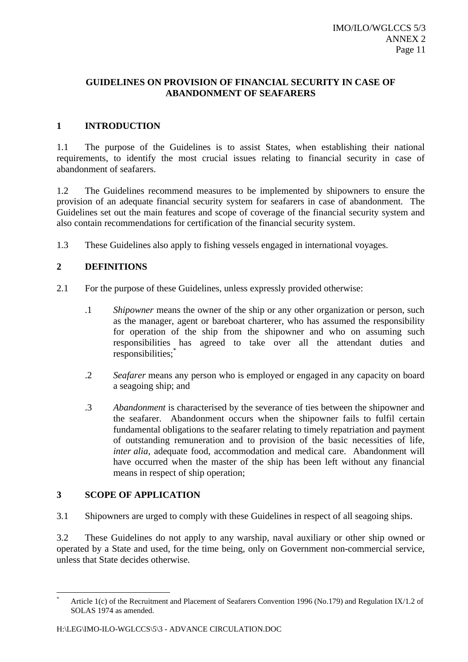## **GUIDELINES ON PROVISION OF FINANCIAL SECURITY IN CASE OF ABANDONMENT OF SEAFARERS**

## **1 INTRODUCTION**

1.1 The purpose of the Guidelines is to assist States, when establishing their national requirements, to identify the most crucial issues relating to financial security in case of abandonment of seafarers.

1.2 The Guidelines recommend measures to be implemented by shipowners to ensure the provision of an adequate financial security system for seafarers in case of abandonment. The Guidelines set out the main features and scope of coverage of the financial security system and also contain recommendations for certification of the financial security system.

1.3 These Guidelines also apply to fishing vessels engaged in international voyages.

## **2 DEFINITIONS**

- 2.1 For the purpose of these Guidelines, unless expressly provided otherwise:
	- .1 *Shipowner* means the owner of the ship or any other organization or person, such as the manager, agent or bareboat charterer, who has assumed the responsibility for operation of the ship from the shipowner and who on assuming such responsibilities has agreed to take over all the attendant duties and responsibilities;\*
	- .2 *Seafarer* means any person who is employed or engaged in any capacity on board a seagoing ship; and
	- .3 *Abandonment* is characterised by the severance of ties between the shipowner and the seafarer. Abandonment occurs when the shipowner fails to fulfil certain fundamental obligations to the seafarer relating to timely repatriation and payment of outstanding remuneration and to provision of the basic necessities of life, *inter alia,* adequate food, accommodation and medical care. Abandonment will have occurred when the master of the ship has been left without any financial means in respect of ship operation;

## **3 SCOPE OF APPLICATION**

 $\overline{a}$ 

3.1 Shipowners are urged to comply with these Guidelines in respect of all seagoing ships.

3.2 These Guidelines do not apply to any warship, naval auxiliary or other ship owned or operated by a State and used, for the time being, only on Government non-commercial service, unless that State decides otherwise.

Article 1(c) of the Recruitment and Placement of Seafarers Convention 1996 (No.179) and Regulation IX/1.2 of SOLAS 1974 as amended.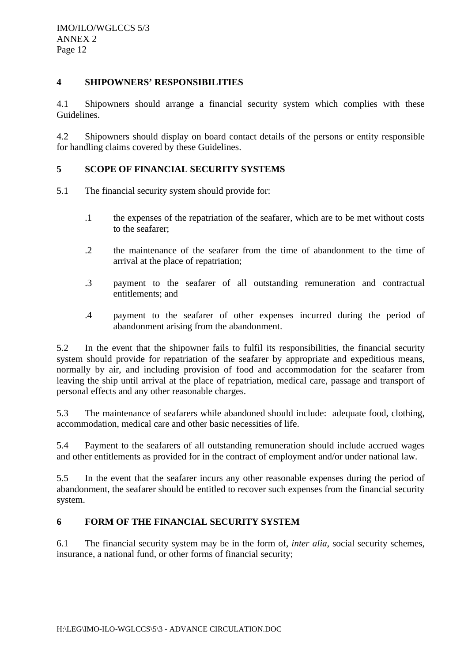## **4 SHIPOWNERS' RESPONSIBILITIES**

4.1 Shipowners should arrange a financial security system which complies with these Guidelines.

4.2 Shipowners should display on board contact details of the persons or entity responsible for handling claims covered by these Guidelines.

## **5 SCOPE OF FINANCIAL SECURITY SYSTEMS**

- 5.1 The financial security system should provide for:
	- .1 the expenses of the repatriation of the seafarer, which are to be met without costs to the seafarer;
	- .2 the maintenance of the seafarer from the time of abandonment to the time of arrival at the place of repatriation;
	- .3 payment to the seafarer of all outstanding remuneration and contractual entitlements; and
	- .4 payment to the seafarer of other expenses incurred during the period of abandonment arising from the abandonment.

5.2 In the event that the shipowner fails to fulfil its responsibilities, the financial security system should provide for repatriation of the seafarer by appropriate and expeditious means, normally by air, and including provision of food and accommodation for the seafarer from leaving the ship until arrival at the place of repatriation, medical care, passage and transport of personal effects and any other reasonable charges.

5.3 The maintenance of seafarers while abandoned should include: adequate food, clothing, accommodation, medical care and other basic necessities of life.

5.4 Payment to the seafarers of all outstanding remuneration should include accrued wages and other entitlements as provided for in the contract of employment and/or under national law.

5.5 In the event that the seafarer incurs any other reasonable expenses during the period of abandonment, the seafarer should be entitled to recover such expenses from the financial security system.

## **6 FORM OF THE FINANCIAL SECURITY SYSTEM**

6.1 The financial security system may be in the form of, *inter alia*, social security schemes, insurance, a national fund, or other forms of financial security;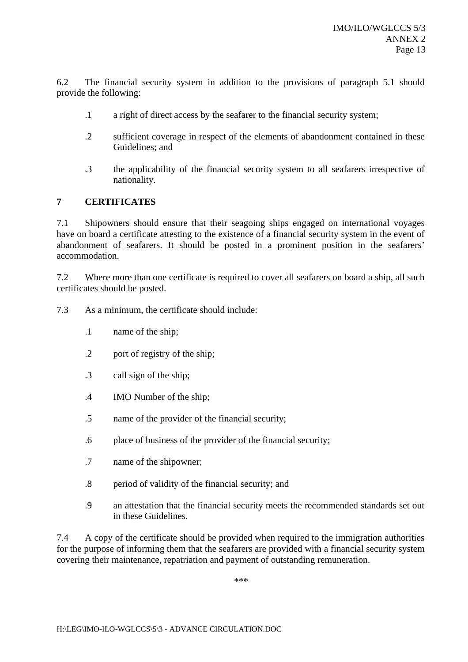6.2 The financial security system in addition to the provisions of paragraph 5.1 should provide the following:

- .1 a right of direct access by the seafarer to the financial security system;
- .2 sufficient coverage in respect of the elements of abandonment contained in these Guidelines; and
- .3 the applicability of the financial security system to all seafarers irrespective of nationality.

## **7 CERTIFICATES**

7.1 Shipowners should ensure that their seagoing ships engaged on international voyages have on board a certificate attesting to the existence of a financial security system in the event of abandonment of seafarers. It should be posted in a prominent position in the seafarers' accommodation.

7.2 Where more than one certificate is required to cover all seafarers on board a ship, all such certificates should be posted.

7.3 As a minimum, the certificate should include:

- .1 name of the ship;
- .2 port of registry of the ship;
- .3 call sign of the ship;
- .4 IMO Number of the ship;
- .5 name of the provider of the financial security;
- .6 place of business of the provider of the financial security;
- .7 name of the shipowner;
- .8 period of validity of the financial security; and
- .9 an attestation that the financial security meets the recommended standards set out in these Guidelines.

7.4 A copy of the certificate should be provided when required to the immigration authorities for the purpose of informing them that the seafarers are provided with a financial security system covering their maintenance, repatriation and payment of outstanding remuneration.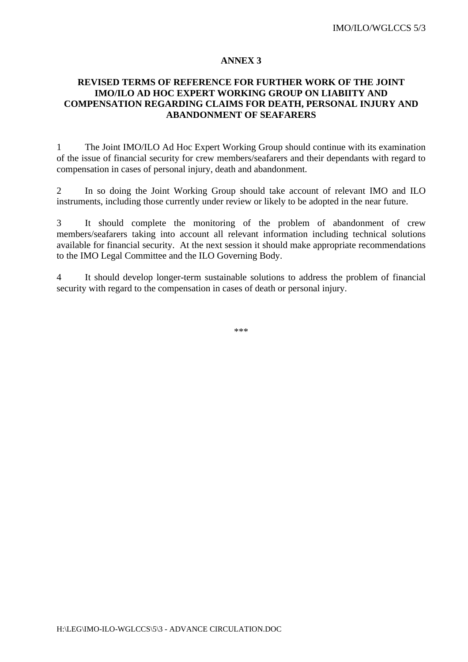## **REVISED TERMS OF REFERENCE FOR FURTHER WORK OF THE JOINT IMO/ILO AD HOC EXPERT WORKING GROUP ON LIABIITY AND COMPENSATION REGARDING CLAIMS FOR DEATH, PERSONAL INJURY AND ABANDONMENT OF SEAFARERS**

1 The Joint IMO/ILO Ad Hoc Expert Working Group should continue with its examination of the issue of financial security for crew members/seafarers and their dependants with regard to compensation in cases of personal injury, death and abandonment.

2 In so doing the Joint Working Group should take account of relevant IMO and ILO instruments, including those currently under review or likely to be adopted in the near future.

3 It should complete the monitoring of the problem of abandonment of crew members/seafarers taking into account all relevant information including technical solutions available for financial security. At the next session it should make appropriate recommendations to the IMO Legal Committee and the ILO Governing Body.

4 It should develop longer-term sustainable solutions to address the problem of financial security with regard to the compensation in cases of death or personal injury.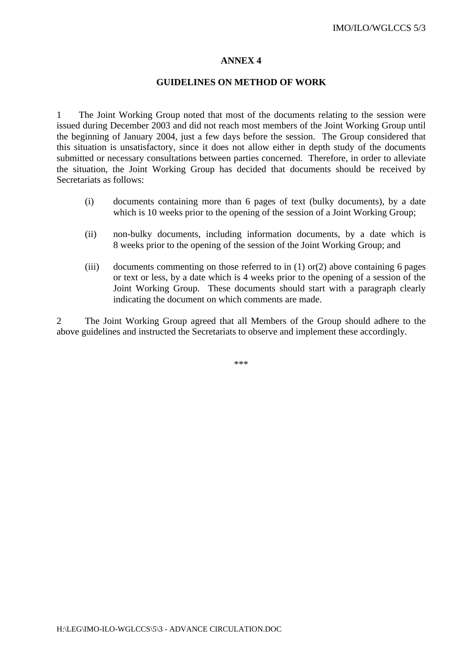#### **GUIDELINES ON METHOD OF WORK**

1 The Joint Working Group noted that most of the documents relating to the session were issued during December 2003 and did not reach most members of the Joint Working Group until the beginning of January 2004, just a few days before the session. The Group considered that this situation is unsatisfactory, since it does not allow either in depth study of the documents submitted or necessary consultations between parties concerned. Therefore, in order to alleviate the situation, the Joint Working Group has decided that documents should be received by Secretariats as follows:

- (i) documents containing more than 6 pages of text (bulky documents), by a date which is 10 weeks prior to the opening of the session of a Joint Working Group;
- (ii) non-bulky documents, including information documents, by a date which is 8 weeks prior to the opening of the session of the Joint Working Group; and
- (iii) documents commenting on those referred to in  $(1)$  or $(2)$  above containing 6 pages or text or less, by a date which is 4 weeks prior to the opening of a session of the Joint Working Group. These documents should start with a paragraph clearly indicating the document on which comments are made.

2 The Joint Working Group agreed that all Members of the Group should adhere to the above guidelines and instructed the Secretariats to observe and implement these accordingly.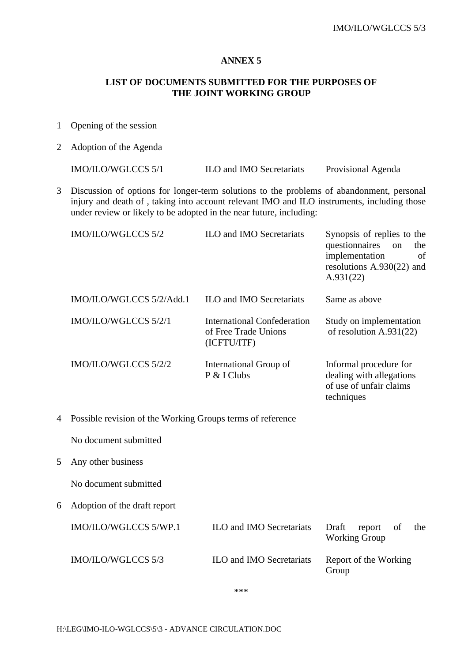## **LIST OF DOCUMENTS SUBMITTED FOR THE PURPOSES OF THE JOINT WORKING GROUP**

- 1 Opening of the session
- 2 Adoption of the Agenda

IMO/ILO/WGLCCS 5/1 ILO and IMO Secretariats Provisional Agenda

3 Discussion of options for longer-term solutions to the problems of abandonment, personal injury and death of , taking into account relevant IMO and ILO instruments, including those under review or likely to be adopted in the near future, including:

|   | IMO/ILO/WGLCCS 5/2                                         | <b>ILO and IMO Secretariats</b>                                           | Synopsis of replies to the<br>questionnaires<br>the<br>on<br>implementation<br>of<br>resolutions $A.930(22)$ and<br>A.931(22) |
|---|------------------------------------------------------------|---------------------------------------------------------------------------|-------------------------------------------------------------------------------------------------------------------------------|
|   | IMO/ILO/WGLCCS 5/2/Add.1                                   | <b>ILO and IMO Secretariats</b>                                           | Same as above                                                                                                                 |
|   | IMO/ILO/WGLCCS 5/2/1                                       | <b>International Confederation</b><br>of Free Trade Unions<br>(ICFTU/ITF) | Study on implementation<br>of resolution A.931(22)                                                                            |
|   | IMO/ILO/WGLCCS 5/2/2                                       | International Group of<br>P & I Clubs                                     | Informal procedure for<br>dealing with allegations<br>of use of unfair claims<br>techniques                                   |
| 4 | Possible revision of the Working Groups terms of reference |                                                                           |                                                                                                                               |
|   | No document submitted                                      |                                                                           |                                                                                                                               |
| 5 | Any other business                                         |                                                                           |                                                                                                                               |
|   | No document submitted                                      |                                                                           |                                                                                                                               |
| 6 | Adoption of the draft report                               |                                                                           |                                                                                                                               |
|   | IMO/ILO/WGLCCS 5/WP.1                                      | <b>ILO and IMO Secretariats</b>                                           | Draft<br>report<br>of<br>the<br><b>Working Group</b>                                                                          |
|   | IMO/ILO/WGLCCS 5/3                                         | <b>ILO and IMO Secretariats</b>                                           | Report of the Working<br>Group                                                                                                |
|   |                                                            |                                                                           |                                                                                                                               |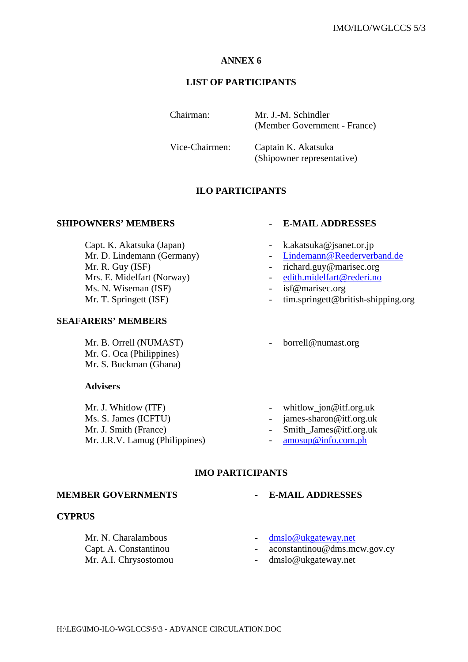## **LIST OF PARTICIPANTS**

Chairman: Mr. J.-M. Schindler (Member Government - France)

Vice-Chairmen: Captain K. Akatsuka (Shipowner representative)

## **ILO PARTICIPANTS**

## **SHIPOWNERS' MEMBERS - E-MAIL ADDRESSES**

Capt. K. Akatsuka (Japan) - k.akatsuka@jsanet.or.jp Mr. D. Lindemann (Germany) - Lindemann @Reederverband.de Mr. R. Guy (ISF) - richard.guy@marisec.org Mrs. E. Midelfart (Norway) - edith.midelfart@rederi.no Ms. N. Wiseman (ISF)  $-$  isf@marisec.org

#### **SEAFARERS' MEMBERS**

Mr. B. Orrell (NUMAST) - borrell@numast.org Mr. G. Oca (Philippines) Mr. S. Buckman (Ghana)

#### **Advisers**

Mr. J. Whitlow (ITF) - whitlow\_jon@itf.org.uk Ms. S. James (ICFTU) - james-sharon@itf.org.uk Mr. J. Smith (France) - Smith James@itf.org.uk Mr. J.R.V. Lamug (Philippines) - amosup@info.com.ph

- 
- 
- 
- 
- 
- Mr. T. Springett (ISF)  $\cdot$  tim.springett@british-shipping.org
	-
	-
	-
	-
	-

## **IMO PARTICIPANTS**

#### **MEMBER GOVERNMENTS - E-MAIL ADDRESSES**

#### **CYPRUS**

Mr. N. Charalambous **a** dmslo@ukgateway.net Mr. A.I. Chrysostomou - dmslo@ukgateway.net

- 
- 
- Capt. A. Constantinou capt. A. Constantinou capt. A. Constantinou capt. A. Constantinou capt. A. Constantinou capt.
	-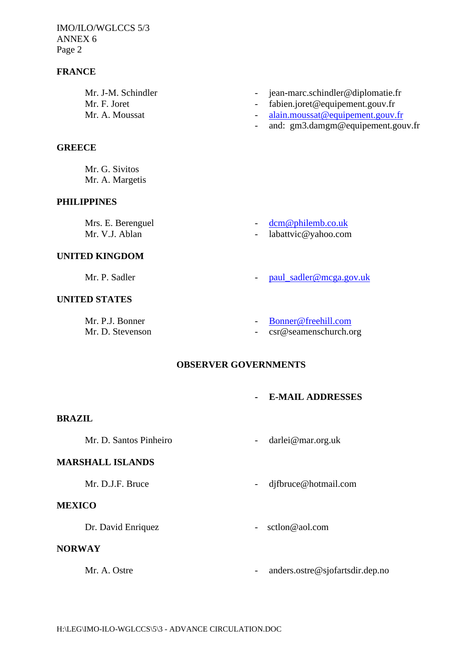IMO/ILO/WGLCCS 5/3 ANNEX 6 Page 2

## **FRANCE**

- Mr. J-M. Schindler jean-marc.schindler@diplomatie.fr
- Mr. F. Joret  **Fabien.joret@equipement.gouv.fr**
- Mr. A. Moussat alain.moussat@equipement.gouv.fr
	- and: gm3.damgm@equipement.gouv.fr

#### **GREECE**

Mr. G. Sivitos Mr. A. Margetis

## **PHILIPPINES**

Mrs. E. Berenguel - dome philemb.co.uk<br>Mr. V.J. Ablan - labattvic@vahoo.com

- 
- labattvic@yahoo.com

#### **UNITED KINGDOM**

Mr. P. Sadler **- paul\_sadler@mcga.gov.uk** 

## **UNITED STATES**

- 
- Mr. P.J. Bonner Bonner@freehill.com
- Mr. D. Stevenson csr@seamenschurch.org

#### **OBSERVER GOVERNMENTS**

**- E-MAIL ADDRESSES**

## **BRAZIL**

Mr. D. Santos Pinheiro - darlei@mar.org.uk

#### **MARSHALL ISLANDS**

Mr. D.J.F. Bruce  $\qquad \qquad -$  djfbruce@hotmail.com

## **MEXICO**

Dr. David Enriquez - sctlon@aol.com

#### **NORWAY**

- 
- Mr. A. Ostre  **anders.ostre@sjofartsdir.dep.no**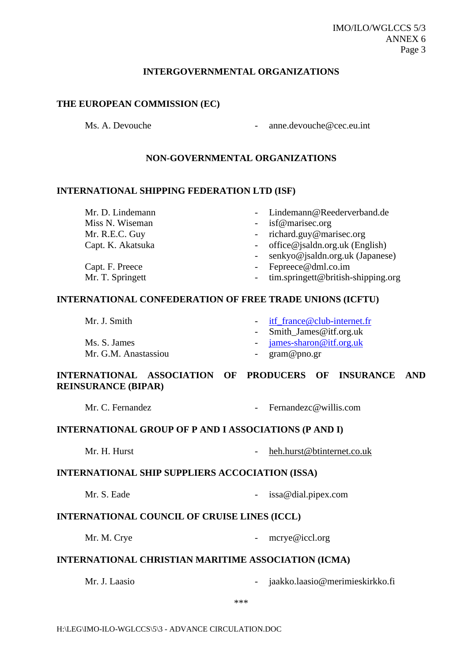#### IMO/ILO/WGLCCS 5/3 ANNEX 6 Page 3

#### **INTERGOVERNMENTAL ORGANIZATIONS**

#### **THE EUROPEAN COMMISSION (EC)**

Ms. A. Devouche  $\qquad \qquad \text{one.} \qquad \text{one.} \qquad \qquad \text{one.} \qquad \qquad \text{one.} \qquad \text{one.} \qquad \text{one.} \qquad \text{one.} \qquad \text{one.} \qquad \text{one.} \qquad \text{one.} \qquad \text{one.} \qquad \text{one.} \qquad \text{one.} \qquad \text{one.} \qquad \text{one.} \qquad \text{one.} \qquad \text{one.} \qquad \text{one.} \qquad \text{one.} \qquad \text{one.} \qquad \text{one.} \qquad \text{$ 

## **NON-GOVERNMENTAL ORGANIZATIONS**

#### **INTERNATIONAL SHIPPING FEDERATION LTD (ISF)**

| Mr. D. Lindemann  | - Lindemann@Reederverband.de             |
|-------------------|------------------------------------------|
| Miss N. Wiseman   | - isf@marisec.org                        |
| Mr. R.E.C. Guy    | - richard.guy@marisec.org                |
| Capt. K. Akatsuka | - office@jsaldn.org.uk (English)         |
|                   | - senkyo@jsaldn.org.uk (Japanese)        |
| Capt. F. Preece   | - Fepreece@dml.co.im                     |
| Mr. T. Springett  | - $\lim$ .springett@british-shipping.org |
|                   |                                          |

## **INTERNATIONAL CONFEDERATION OF FREE TRADE UNIONS (ICFTU)**

| Mr. J. Smith         | - itf $frame@club-internet.fr$ |
|----------------------|--------------------------------|
|                      | - Smith_James@itf.org.uk       |
| Ms. S. James         | $-$ james-sharon@itf.org.uk    |
| Mr. G.M. Anastassiou | - $\gamma$ gram@pno.gr         |

## **INTERNATIONAL ASSOCIATION OF PRODUCERS OF INSURANCE AND REINSURANCE (BIPAR)**

#### **INTERNATIONAL GROUP OF P AND I ASSOCIATIONS (P AND I)**

Mr. H. Hurst - heh.hurst@btinternet.co.uk

#### **INTERNATIONAL SHIP SUPPLIERS ACCOCIATION (ISSA)**

Mr. S. Eade **- issa@dial.pipex.com** 

#### **INTERNATIONAL COUNCIL OF CRUISE LINES (ICCL)**

Mr. M. Crye example 20 and the matrix of the merye  $\omega$  iccl.org

## **INTERNATIONAL CHRISTIAN MARITIME ASSOCIATION (ICMA)**

Mr. J. Laasio - jaakko.laasio@merimieskirkko.fi